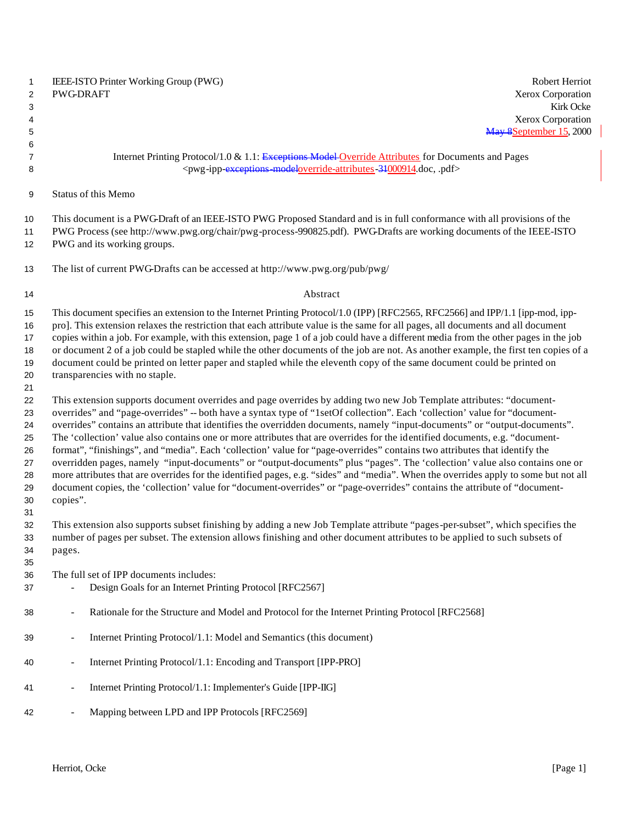|   | <b>IEEE-ISTO Printer Working Group (PWG)</b> | <b>Robert Herriot</b>    |
|---|----------------------------------------------|--------------------------|
| 2 | PWG-DRAFT                                    | <b>Xerox Corporation</b> |
|   |                                              | Kirk Ocke                |
|   |                                              | Xerox Cornoration        |

#### 7 Internet Printing Protocol/1.0 & 1.1: Exceptions Model Override Attributes for Documents and Pages <pwg-ipp-exceptions-modeloverride-attributes-31000914.doc, .pdf>

Status of this Memo

This document is a PWG-Draft of an IEEE-ISTO PWG Proposed Standard and is in full conformance with all provisions of the

 PWG Process (see http://www.pwg.org/chair/pwg-process-990825.pdf). PWG-Drafts are working documents of the IEEE-ISTO PWG and its working groups.

The list of current PWG-Drafts can be accessed at http://www.pwg.org/pub/pwg/

#### 14 Abstract

 This document specifies an extension to the Internet Printing Protocol/1.0 (IPP) [RFC2565, RFC2566] and IPP/1.1 [ipp-mod, ipp- pro]. This extension relaxes the restriction that each attribute value is the same for all pages, all documents and all document copies within a job. For example, with this extension, page 1 of a job could have a different media from the other pages in the job or document 2 of a job could be stapled while the other documents of the job are not. As another example, the first ten copies of a document could be printed on letter paper and stapled while the eleventh copy of the same document could be printed on transparencies with no staple.

 This extension supports document overrides and page overrides by adding two new Job Template attributes: "document- overrides" and "page-overrides" -- both have a syntax type of "1setOf collection". Each 'collection' value for "document- overrides" contains an attribute that identifies the overridden documents, namely "input-documents" or "output-documents". The 'collection' value also contains one or more attributes that are overrides for the identified documents, e.g. "document- format", "finishings", and "media". Each 'collection' value for "page-overrides" contains two attributes that identify the overridden pages, namely "input-documents" or "output-documents" plus "pages". The 'collection' value also contains one or more attributes that are overrides for the identified pages, e.g. "sides" and "media". When the overrides apply to some but not all document copies, the 'collection' value for "document-overrides" or "page-overrides" contains the attribute of "document-copies".

 This extension also supports subset finishing by adding a new Job Template attribute "pages-per-subset", which specifies the number of pages per subset. The extension allows finishing and other document attributes to be applied to such subsets of pages.

The full set of IPP documents includes:

- Design Goals for an Internet Printing Protocol [RFC2567]
- Rationale for the Structure and Model and Protocol for the Internet Printing Protocol [RFC2568]
- Internet Printing Protocol/1.1: Model and Semantics (this document)
- Internet Printing Protocol/1.1: Encoding and Transport [IPP-PRO]
- 41 Internet Printing Protocol/1.1: Implementer's Guide [IPP-IIG]
- 42 Mapping between LPD and IPP Protocols [RFC2569]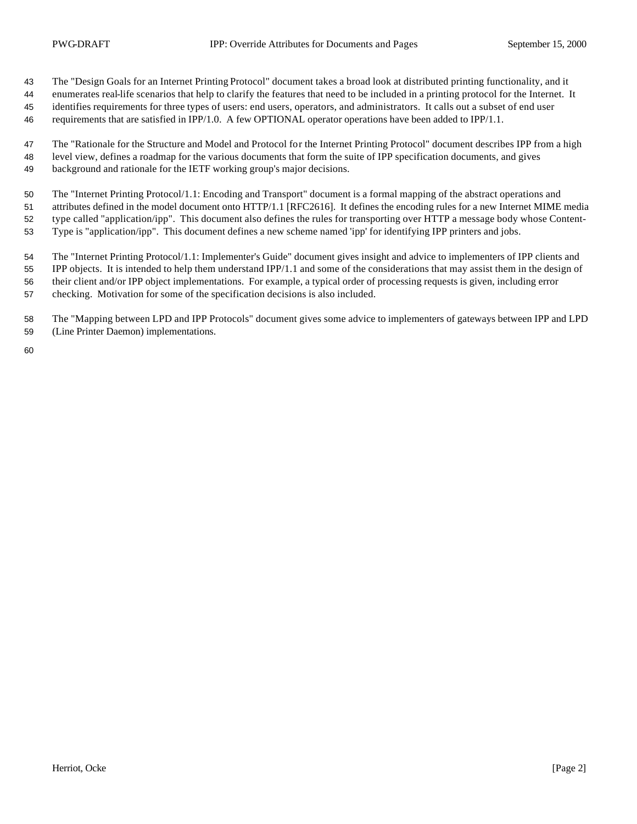The "Design Goals for an Internet Printing Protocol" document takes a broad look at distributed printing functionality, and it

 enumerates real-life scenarios that help to clarify the features that need to be included in a printing protocol for the Internet. It identifies requirements for three types of users: end users, operators, and administrators. It calls out a subset of end user requirements that are satisfied in IPP/1.0. A few OPTIONAL operator operations have been added to IPP/1.1.

 The "Rationale for the Structure and Model and Protocol for the Internet Printing Protocol" document describes IPP from a high level view, defines a roadmap for the various documents that form the suite of IPP specification documents, and gives background and rationale for the IETF working group's major decisions.

The "Internet Printing Protocol/1.1: Encoding and Transport" document is a formal mapping of the abstract operations and

attributes defined in the model document onto HTTP/1.1 [RFC2616]. It defines the encoding rules for a new Internet MIME media

type called "application/ipp". This document also defines the rules for transporting over HTTP a message body whose Content-

Type is "application/ipp". This document defines a new scheme named 'ipp' for identifying IPP printers and jobs.

 The "Internet Printing Protocol/1.1: Implementer's Guide" document gives insight and advice to implementers of IPP clients and IPP objects. It is intended to help them understand IPP/1.1 and some of the considerations that may assist them in the design of their client and/or IPP object implementations. For example, a typical order of processing requests is given, including error

checking. Motivation for some of the specification decisions is also included.

 The "Mapping between LPD and IPP Protocols" document gives some advice to implementers of gateways between IPP and LPD (Line Printer Daemon) implementations.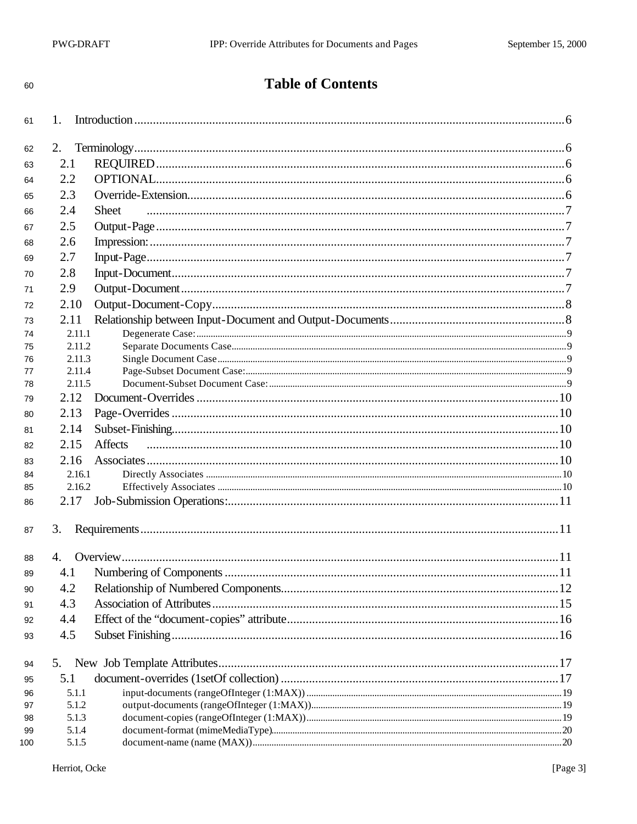| ۰       | ï            |
|---------|--------------|
|         |              |
| i<br>۰. | ٦<br>×<br>۰. |

# **Table of Contents**

| 61  | 1.     |                |  |
|-----|--------|----------------|--|
| 62  | 2.     |                |  |
| 63  | 2.1    |                |  |
| 64  | 2.2    |                |  |
| 65  | 2.3    |                |  |
| 66  | 2.4    | Sheet          |  |
|     |        |                |  |
| 67  | 2.5    |                |  |
| 68  | 2.6    |                |  |
| 69  | 2.7    |                |  |
| 70  | 2.8    |                |  |
| 71  | 2.9    |                |  |
| 72  | 2.10   |                |  |
| 73  | 2.11   |                |  |
| 74  | 2.11.1 |                |  |
| 75  | 2.11.2 |                |  |
| 76  | 2.11.3 |                |  |
| 77  | 2.11.4 |                |  |
| 78  | 2.11.5 |                |  |
| 79  | 2.12   |                |  |
| 80  | 2.13   |                |  |
| 81  | 2.14   |                |  |
| 82  | 2.15   | <b>Affects</b> |  |
| 83  | 2.16   |                |  |
| 84  | 2.16.1 |                |  |
| 85  | 2.16.2 |                |  |
| 86  | 2.17   |                |  |
| 87  | 3.     |                |  |
| 88  | 4.     |                |  |
|     | 4.1    |                |  |
| 89  |        |                |  |
| 90  | 4.2    |                |  |
| 91  | 4.3    |                |  |
| 92  | 4.4    |                |  |
| 93  | 4.5    |                |  |
| 94  | 5.     |                |  |
| 95  | 5.1    |                |  |
| 96  | 5.1.1  |                |  |
| 97  | 5.1.2  |                |  |
| 98  | 5.1.3  |                |  |
| 99  | 5.1.4  |                |  |
| 100 | 5.1.5  |                |  |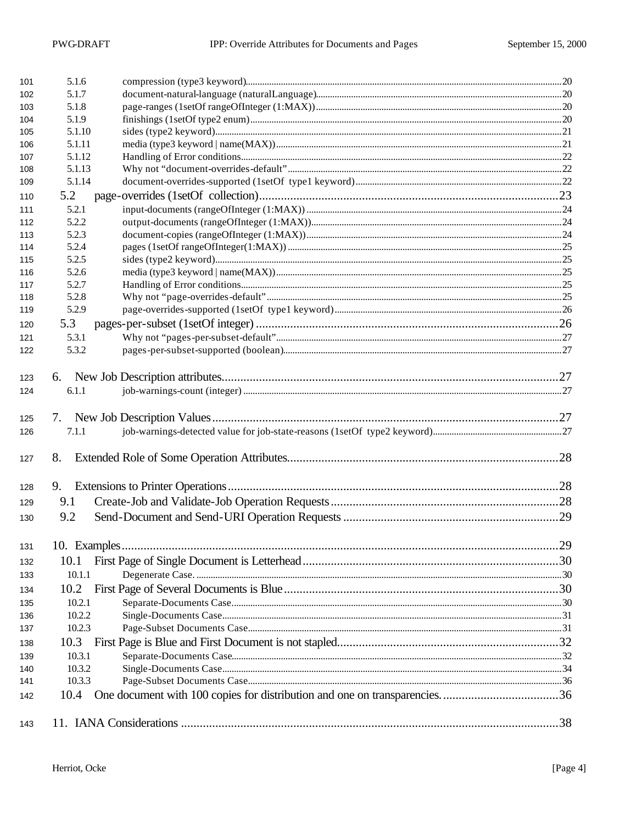| 143        |                  |  |
|------------|------------------|--|
|            |                  |  |
| 142        | 10.4             |  |
| 141        | 10.3.3           |  |
| 140        | 10.3.2           |  |
| 139        | 10.3.1           |  |
| 138        |                  |  |
| 137        | 10.2.3           |  |
| 136        | 10.2.2           |  |
| 135        | 10.2.1           |  |
| 134        | 10.2             |  |
| 133        | 10.1.1           |  |
| 132        | 10.1             |  |
| 131        |                  |  |
| 130        | 9.2              |  |
|            |                  |  |
| 129        | 9.1              |  |
| 128        | 9.               |  |
| 127        | 8.               |  |
| 126        | 7.1.1            |  |
| 125        | 7.               |  |
| 124        | 6.1.1            |  |
| 123        |                  |  |
| 122        | 5.3.2            |  |
| 121        | 5.3.1            |  |
| 120        | 5.3              |  |
| 119        | 5.2.9            |  |
| 118        | 5.2.8            |  |
| 117        | 5.2.7            |  |
| 116        | 5.2.6            |  |
| 115        | 5.2.5            |  |
| 114        | 5.2.4            |  |
| 113        | 5.2.3            |  |
| 112        | 5.2.2            |  |
| 111        | 5.2.1            |  |
| 110        | 5.2              |  |
| 109        | 5.1.14           |  |
| 108        | 5.1.13           |  |
| 106<br>107 | 5.1.11<br>5.1.12 |  |
| 105        | 5.1.10           |  |
| 104        | 5.1.9            |  |
| 103        | 5.1.8            |  |
| 102        | 5.1.7            |  |
| 101        | 5.1.6            |  |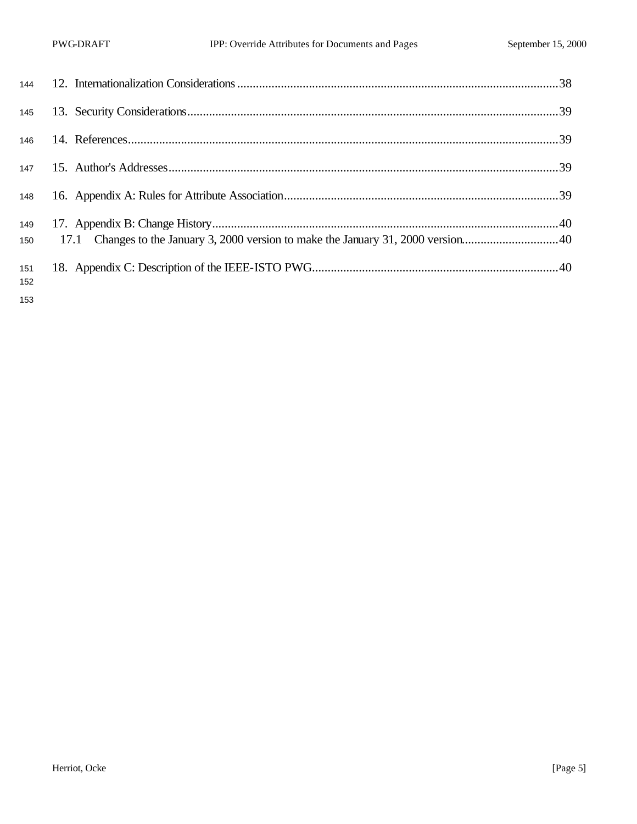| 145        |  |
|------------|--|
| 146        |  |
|            |  |
| 148        |  |
| 149<br>150 |  |
| 151<br>152 |  |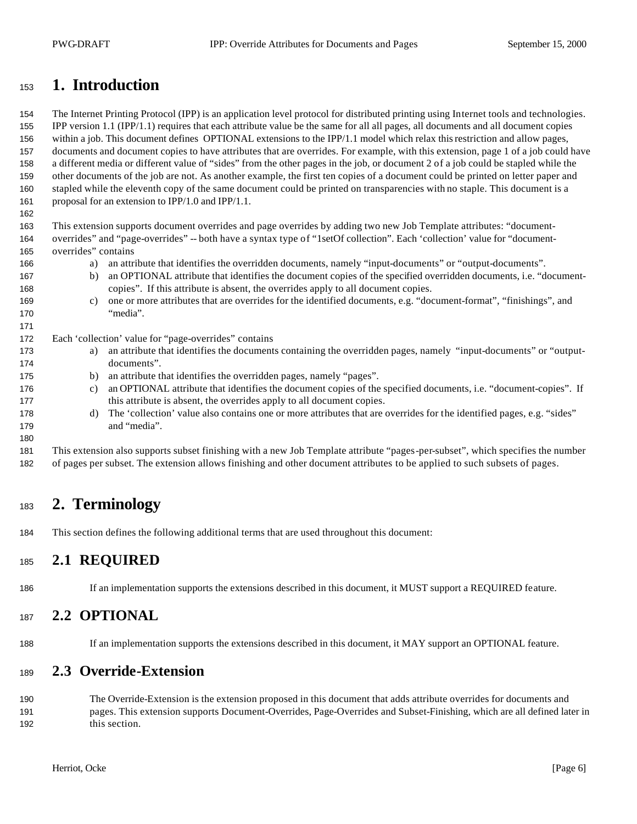## **1. Introduction**

 The Internet Printing Protocol (IPP) is an application level protocol for distributed printing using Internet tools and technologies. IPP version 1.1 (IPP/1.1) requires that each attribute value be the same for all all pages, all documents and all document copies within a job. This document defines OPTIONAL extensions to the IPP/1.1 model which relax this restriction and allow pages, documents and document copies to have attributes that are overrides. For example, with this extension, page 1 of a job could have a different media or different value of "sides" from the other pages in the job, or document 2 of a job could be stapled while the other documents of the job are not. As another example, the first ten copies of a document could be printed on letter paper and stapled while the eleventh copy of the same document could be printed on transparencies with no staple. This document is a proposal for an extension to IPP/1.0 and IPP/1.1.

 This extension supports document overrides and page overrides by adding two new Job Template attributes: "document- overrides" and "page-overrides" -- both have a syntax type of "1setOf collection". Each 'collection' value for "document-overrides" contains

- a) an attribute that identifies the overridden documents, namely "input-documents" or "output-documents".
- b) an OPTIONAL attribute that identifies the document copies of the specified overridden documents, i.e. "document-copies". If this attribute is absent, the overrides apply to all document copies.
- c) one or more attributes that are overrides for the identified documents, e.g. "document-format", "finishings", and "media".

Each 'collection' value for "page-overrides" contains

- a) an attribute that identifies the documents containing the overridden pages, namely "input-documents" or "output-documents".
- b) an attribute that identifies the overridden pages, namely "pages".
- c) an OPTIONAL attribute that identifies the document copies of the specified documents, i.e. "document-copies". If 177 this attribute is absent, the overrides apply to all document copies.
- 178 d) The 'collection' value also contains one or more attributes that are overrides for the identified pages, e.g. "sides" and "media".

 This extension also supports subset finishing with a new Job Template attribute "pages-per-subset", which specifies the number of pages per subset. The extension allows finishing and other document attributes to be applied to such subsets of pages.

# **2. Terminology**

This section defines the following additional terms that are used throughout this document:

### **2.1 REQUIRED**

If an implementation supports the extensions described in this document, it MUST support a REQUIRED feature.

#### **2.2 OPTIONAL**

If an implementation supports the extensions described in this document, it MAY support an OPTIONAL feature.

### **2.3 Override-Extension**

 The Override-Extension is the extension proposed in this document that adds attribute overrides for documents and pages. This extension supports Document-Overrides, Page-Overrides and Subset-Finishing, which are all defined later in this section.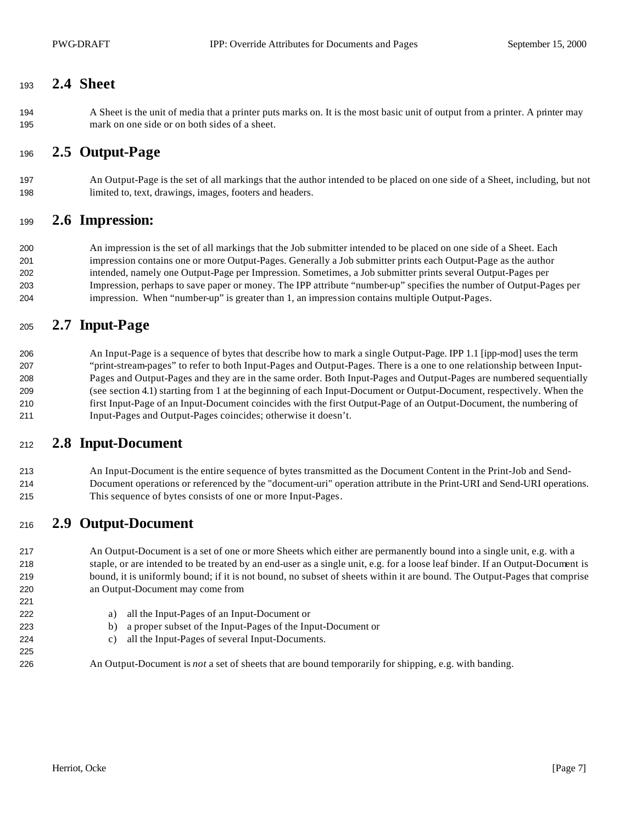#### **2.4 Sheet**

 A Sheet is the unit of media that a printer puts marks on. It is the most basic unit of output from a printer. A printer may mark on one side or on both sides of a sheet.

#### **2.5 Output-Page**

 An Output-Page is the set of all markings that the author intended to be placed on one side of a Sheet, including, but not limited to, text, drawings, images, footers and headers.

#### **2.6 Impression:**

 An impression is the set of all markings that the Job submitter intended to be placed on one side of a Sheet. Each impression contains one or more Output-Pages. Generally a Job submitter prints each Output-Page as the author intended, namely one Output-Page per Impression. Sometimes, a Job submitter prints several Output-Pages per Impression, perhaps to save paper or money. The IPP attribute "number-up" specifies the number of Output-Pages per impression. When "number-up" is greater than 1, an impression contains multiple Output-Pages.

## **2.7 Input-Page**

 An Input-Page is a sequence of bytes that describe how to mark a single Output-Page. IPP 1.1 [ipp-mod] uses the term "print-stream-pages" to refer to both Input-Pages and Output-Pages. There is a one to one relationship between Input- Pages and Output-Pages and they are in the same order. Both Input-Pages and Output-Pages are numbered sequentially (see section 4.1) starting from 1 at the beginning of each Input-Document or Output-Document, respectively. When the first Input-Page of an Input-Document coincides with the first Output-Page of an Output-Document, the numbering of Input-Pages and Output-Pages coincides; otherwise it doesn't.

#### **2.8 Input-Document**

 An Input-Document is the entire sequence of bytes transmitted as the Document Content in the Print-Job and Send- Document operations or referenced by the "document-uri" operation attribute in the Print-URI and Send-URI operations. This sequence of bytes consists of one or more Input-Pages.

### **2.9 Output-Document**

 An Output-Document is a set of one or more Sheets which either are permanently bound into a single unit, e.g. with a staple, or are intended to be treated by an end-user as a single unit, e.g. for a loose leaf binder. If an Output-Document is bound, it is uniformly bound; if it is not bound, no subset of sheets within it are bound. The Output-Pages that comprise an Output-Document may come from

- a) all the Input-Pages of an Input-Document or
- b) a proper subset of the Input-Pages of the Input-Document or
- c) all the Input-Pages of several Input-Documents.

An Output-Document is *not* a set of sheets that are bound temporarily for shipping, e.g. with banding.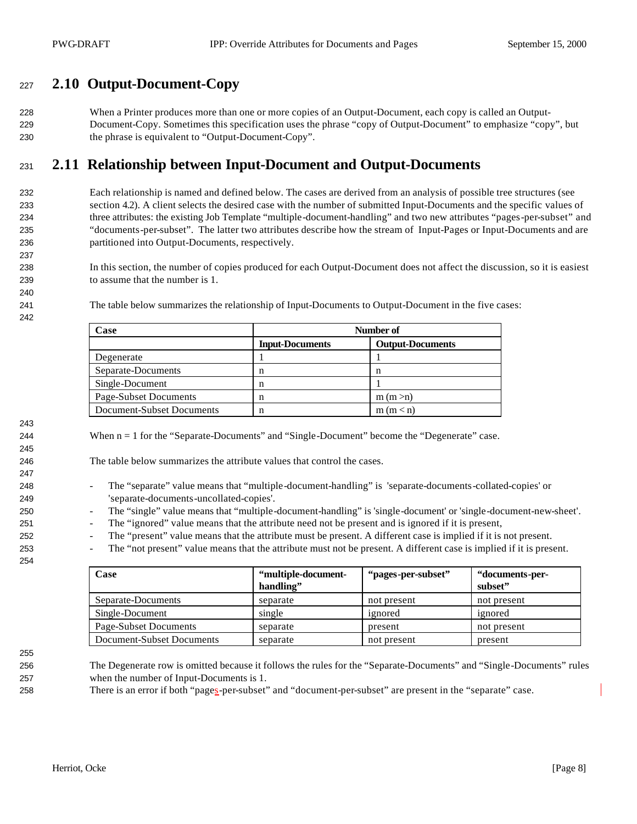## **2.10 Output-Document-Copy**

 When a Printer produces more than one or more copies of an Output-Document, each copy is called an Output- Document-Copy. Sometimes this specification uses the phrase "copy of Output-Document" to emphasize "copy", but the phrase is equivalent to "Output-Document-Copy".

## **2.11 Relationship between Input-Document and Output-Documents**

 Each relationship is named and defined below. The cases are derived from an analysis of possible tree structures (see section 4.2). A client selects the desired case with the number of submitted Input-Documents and the specific values of three attributes: the existing Job Template "multiple-document-handling" and two new attributes "pages-per-subset" and "documents-per-subset". The latter two attributes describe how the stream of Input-Pages or Input-Documents and are partitioned into Output-Documents, respectively.

 In this section, the number of copies produced for each Output-Document does not affect the discussion, so it is easiest to assume that the number is 1.

The table below summarizes the relationship of Input-Documents to Output-Document in the five cases:

| Case                      | Number of              |                         |  |
|---------------------------|------------------------|-------------------------|--|
|                           | <b>Input-Documents</b> | <b>Output-Documents</b> |  |
| Degenerate                |                        |                         |  |
| Separate-Documents        | n                      | n                       |  |
| Single-Document           | n                      |                         |  |
| Page-Subset Documents     | n                      | m(m> n)                 |  |
| Document-Subset Documents |                        | m(m < n)                |  |

244 When n = 1 for the "Separate-Documents" and "Single-Document" become the "Degenerate" case.

The table below summarizes the attribute values that control the cases.

- The "separate" value means that "multiple-document-handling" is 'separate-documents-collated-copies' or 'separate-documents-uncollated-copies'.
- The "single" value means that "multiple-document-handling" is 'single-document' or 'single-document-new-sheet'.
- The "ignored" value means that the attribute need not be present and is ignored if it is present,
- The "present" value means that the attribute must be present. A different case is implied if it is not present.
- The "not present" value means that the attribute must not be present. A different case is implied if it is present.

| Case                      | "multiple-document-<br>handling" | "pages-per-subset" | "documents-per-<br>subset" |
|---------------------------|----------------------------------|--------------------|----------------------------|
| Separate-Documents        | separate                         | not present        | not present                |
| Single-Document           | single                           | ignored            | ignored                    |
| Page-Subset Documents     | separate                         | present            | not present                |
| Document-Subset Documents | separate                         | not present        | present                    |

There is an error if both "pages-per-subset" and "document-per-subset" are present in the "separate" case.

 The Degenerate row is omitted because it follows the rules for the "Separate-Documents" and "Single-Documents" rules when the number of Input-Documents is 1.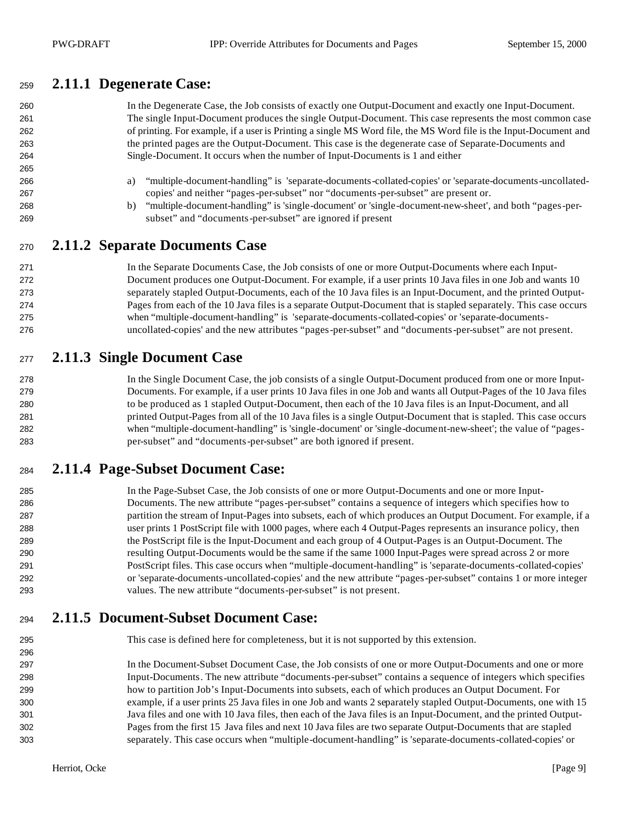#### **2.11.1 Degenerate Case:**

| 260 | In the Degenerate Case, the Job consists of exactly one Output-Document and exactly one Input-Document.           |
|-----|-------------------------------------------------------------------------------------------------------------------|
| 261 | The single Input-Document produces the single Output-Document. This case represents the most common case          |
| 262 | of printing. For example, if a user is Printing a single MS Word file, the MS Word file is the Input-Document and |
| 263 | the printed pages are the Output-Document. This case is the degenerate case of Separate-Documents and             |
| 264 | Single-Document. It occurs when the number of Input-Documents is 1 and either                                     |
| 265 |                                                                                                                   |
| 266 | "multiple-document-handling" is 'separate-documents-collated-copies' or 'separate-documents-uncollated-<br>a)     |
| 267 | copies' and neither "pages-per-subset" nor "documents-per-subset" are present or.                                 |
| 268 | "multiple-document-handling" is 'single-document' or 'single-document-new-sheet', and both "pages-per-<br>b)      |
| 269 | subset" and "documents-per-subset" are ignored if present                                                         |
| 270 | 2.11.2 Separate Documents Case                                                                                    |
| 271 | In the Separate Documents Case, the Job consists of one or more Output-Documents where each Input-                |
| 272 | Document produces one Output-Document. For example, if a user prints 10 Java files in one Job and wants 10        |
| 273 | separately stapled Output-Documents, each of the 10 Java files is an Input-Document, and the printed Output-      |
| 274 | Pages from each of the 10 Java files is a separate Output-Document that is stapled separately. This case occurs   |
| 275 | when "multiple-document-handling" is 'separate-documents-collated-copies' or 'separate-documents-                 |

# **2.11.3 Single Document Case**

#### In the Single Document Case, the job consists of a single Output-Document produced from one or more Input- Documents. For example, if a user prints 10 Java files in one Job and wants all Output-Pages of the 10 Java files to be produced as 1 stapled Output-Document, then each of the 10 Java files is an Input-Document, and all printed Output-Pages from all of the 10 Java files is a single Output-Document that is stapled. This case occurs when "multiple-document-handling" is 'single-document' or 'single-document-new-sheet'; the value of "pages-per-subset" and "documents-per-subset" are both ignored if present.

uncollated-copies' and the new attributes "pages-per-subset" and "documents-per-subset" are not present.

## **2.11.4 Page-Subset Document Case:**

 In the Page-Subset Case, the Job consists of one or more Output-Documents and one or more Input- Documents. The new attribute "pages-per-subset" contains a sequence of integers which specifies how to partition the stream of Input-Pages into subsets, each of which produces an Output Document. For example, if a user prints 1 PostScript file with 1000 pages, where each 4 Output-Pages represents an insurance policy, then the PostScript file is the Input-Document and each group of 4 Output-Pages is an Output-Document. The resulting Output-Documents would be the same if the same 1000 Input-Pages were spread across 2 or more PostScript files. This case occurs when "multiple-document-handling" is 'separate-documents-collated-copies' or 'separate-documents-uncollated-copies' and the new attribute "pages-per-subset" contains 1 or more integer values. The new attribute "documents-per-subset" is not present.

## **2.11.5 Document-Subset Document Case:**

This case is defined here for completeness, but it is not supported by this extension.

 In the Document-Subset Document Case, the Job consists of one or more Output-Documents and one or more Input-Documents. The new attribute "documents-per-subset" contains a sequence of integers which specifies how to partition Job's Input-Documents into subsets, each of which produces an Output Document. For example, if a user prints 25 Java files in one Job and wants 2 separately stapled Output-Documents, one with 15 Java files and one with 10 Java files, then each of the Java files is an Input-Document, and the printed Output- Pages from the first 15 Java files and next 10 Java files are two separate Output-Documents that are stapled separately. This case occurs when "multiple-document-handling" is 'separate-documents-collated-copies' or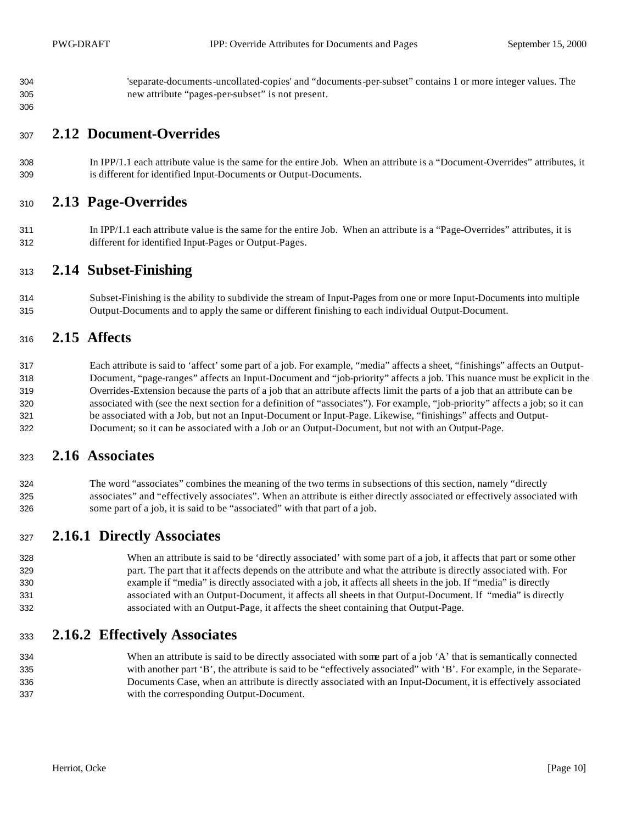'separate-documents-uncollated-copies' and "documents-per-subset" contains 1 or more integer values. The new attribute "pages-per-subset" is not present.

#### **2.12 Document-Overrides**

 In IPP/1.1 each attribute value is the same for the entire Job. When an attribute is a "Document-Overrides" attributes, it is different for identified Input-Documents or Output-Documents.

#### **2.13 Page-Overrides**

 In IPP/1.1 each attribute value is the same for the entire Job. When an attribute is a "Page-Overrides" attributes, it is different for identified Input-Pages or Output-Pages.

#### **2.14 Subset-Finishing**

 Subset-Finishing is the ability to subdivide the stream of Input-Pages from one or more Input-Documents into multiple Output-Documents and to apply the same or different finishing to each individual Output-Document.

#### **2.15 Affects**

 Each attribute is said to 'affect' some part of a job. For example, "media" affects a sheet, "finishings" affects an Output- Document, "page-ranges" affects an Input-Document and "job-priority" affects a job. This nuance must be explicit in the Overrides-Extension because the parts of a job that an attribute affects limit the parts of a job that an attribute can be associated with (see the next section for a definition of "associates"). For example, "job-priority" affects a job; so it can be associated with a Job, but not an Input-Document or Input-Page. Likewise, "finishings" affects and Output-Document; so it can be associated with a Job or an Output-Document, but not with an Output-Page.

#### **2.16 Associates**

 The word "associates" combines the meaning of the two terms in subsections of this section, namely "directly associates" and "effectively associates". When an attribute is either directly associated or effectively associated with some part of a job, it is said to be "associated" with that part of a job.

#### **2.16.1 Directly Associates**

 When an attribute is said to be 'directly associated' with some part of a job, it affects that part or some other part. The part that it affects depends on the attribute and what the attribute is directly associated with. For example if "media" is directly associated with a job, it affects all sheets in the job. If "media" is directly associated with an Output-Document, it affects all sheets in that Output-Document. If "media" is directly associated with an Output-Page, it affects the sheet containing that Output-Page.

#### **2.16.2 Effectively Associates**

334 When an attribute is said to be directly associated with some part of a job 'A' that is semantically connected with another part 'B', the attribute is said to be "effectively associated" with 'B'. For example, in the Separate- Documents Case, when an attribute is directly associated with an Input-Document, it is effectively associated with the corresponding Output-Document.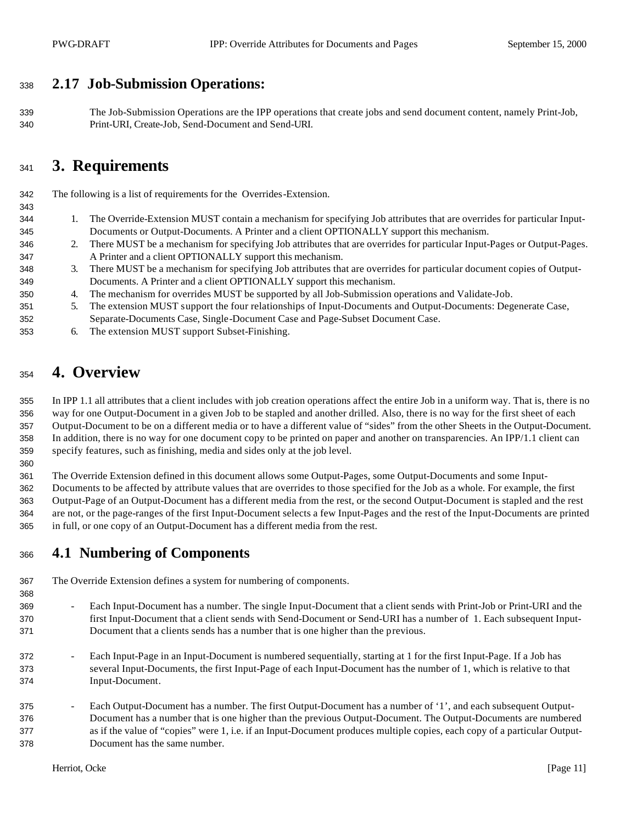## **2.17 Job-Submission Operations:**

 The Job-Submission Operations are the IPP operations that create jobs and send document content, namely Print-Job, Print-URI, Create-Job, Send-Document and Send-URI.

# **3. Requirements**

The following is a list of requirements for the Overrides-Extension.

- 1. The Override-Extension MUST contain a mechanism for specifying Job attributes that are overrides for particular Input-Documents or Output-Documents. A Printer and a client OPTIONALLY support this mechanism.
- 2. There MUST be a mechanism for specifying Job attributes that are overrides for particular Input-Pages or Output-Pages. A Printer and a client OPTIONALLY support this mechanism.
- 3. There MUST be a mechanism for specifying Job attributes that are overrides for particular document copies of Output-Documents. A Printer and a client OPTIONALLY support this mechanism.
- 4. The mechanism for overrides MUST be supported by all Job-Submission operations and Validate-Job.
- 5. The extension MUST support the four relationships of Input-Documents and Output-Documents: Degenerate Case, Separate-Documents Case, Single-Document Case and Page-Subset Document Case.
- 6. The extension MUST support Subset-Finishing.

# **4. Overview**

 In IPP 1.1 all attributes that a client includes with job creation operations affect the entire Job in a uniform way. That is, there is no way for one Output-Document in a given Job to be stapled and another drilled. Also, there is no way for the first sheet of each Output-Document to be on a different media or to have a different value of "sides" from the other Sheets in the Output-Document. In addition, there is no way for one document copy to be printed on paper and another on transparencies. An IPP/1.1 client can specify features, such as finishing, media and sides only at the job level.

The Override Extension defined in this document allows some Output-Pages, some Output-Documents and some Input-

 Documents to be affected by attribute values that are overrides to those specified for the Job as a whole. For example, the first Output-Page of an Output-Document has a different media from the rest, or the second Output-Document is stapled and the rest are not, or the page-ranges of the first Input-Document selects a few Input-Pages and the rest of the Input-Documents are printed in full, or one copy of an Output-Document has a different media from the rest.

## **4.1 Numbering of Components**

- The Override Extension defines a system for numbering of components.
- 369 - Each Input-Document has a number. The single Input-Document that a client sends with Print-Job or Print-URI and the first Input-Document that a client sends with Send-Document or Send-URI has a number of 1. Each subsequent Input- Document that a clients sends has a number that is one higher than the previous.
	- Each Input-Page in an Input-Document is numbered sequentially, starting at 1 for the first Input-Page. If a Job has several Input-Documents, the first Input-Page of each Input-Document has the number of 1, which is relative to that Input-Document.
	- Each Output-Document has a number. The first Output-Document has a number of '1', and each subsequent Output- Document has a number that is one higher than the previous Output-Document. The Output-Documents are numbered as if the value of "copies" were 1, i.e. if an Input-Document produces multiple copies, each copy of a particular Output-Document has the same number.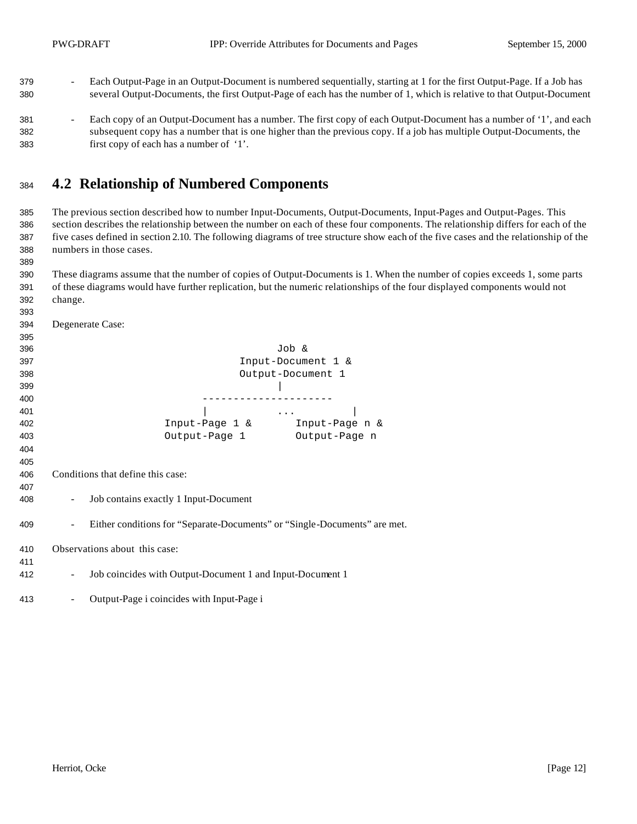- 379 Each Output-Page in an Output-Document is numbered sequentially, starting at 1 for the first Output-Page. If a Job has several Output-Documents, the first Output-Page of each has the number of 1, which is relative to that Output-Document
- 381 Each copy of an Output-Document has a number. The first copy of each Output-Document has a number of '1', and each subsequent copy has a number that is one higher than the previous copy. If a job has multiple Output-Documents, the first copy of each has a number of '1'.

#### **4.2 Relationship of Numbered Components**

 The previous section described how to number Input-Documents, Output-Documents, Input-Pages and Output-Pages. This section describes the relationship between the number on each of these four components. The relationship differs for each of the five cases defined in section 2.10. The following diagrams of tree structure show each of the five cases and the relationship of the numbers in those cases.

 These diagrams assume that the number of copies of Output-Documents is 1. When the number of copies exceeds 1, some parts of these diagrams would have further replication, but the numeric relationships of the four displayed components would not change.

| 394 | Degenerate Case:                                                          |
|-----|---------------------------------------------------------------------------|
| 395 |                                                                           |
| 396 | Job &                                                                     |
| 397 | Input-Document 1 &                                                        |
| 398 | Output-Document 1                                                         |
| 399 |                                                                           |
| 400 |                                                                           |
| 401 | $\cdots$                                                                  |
| 402 | Input-Page 1 &<br>Input-Page n &                                          |
| 403 | Output-Page 1<br>Output-Page n                                            |
| 404 |                                                                           |
| 405 |                                                                           |
| 406 | Conditions that define this case:                                         |
| 407 |                                                                           |
| 408 | Job contains exactly 1 Input-Document                                     |
| 409 | Either conditions for "Separate-Documents" or "Single-Documents" are met. |
| 410 | Observations about this case:                                             |
| 411 |                                                                           |
| 412 | Job coincides with Output-Document 1 and Input-Document 1                 |
| 413 | Output-Page i coincides with Input-Page i                                 |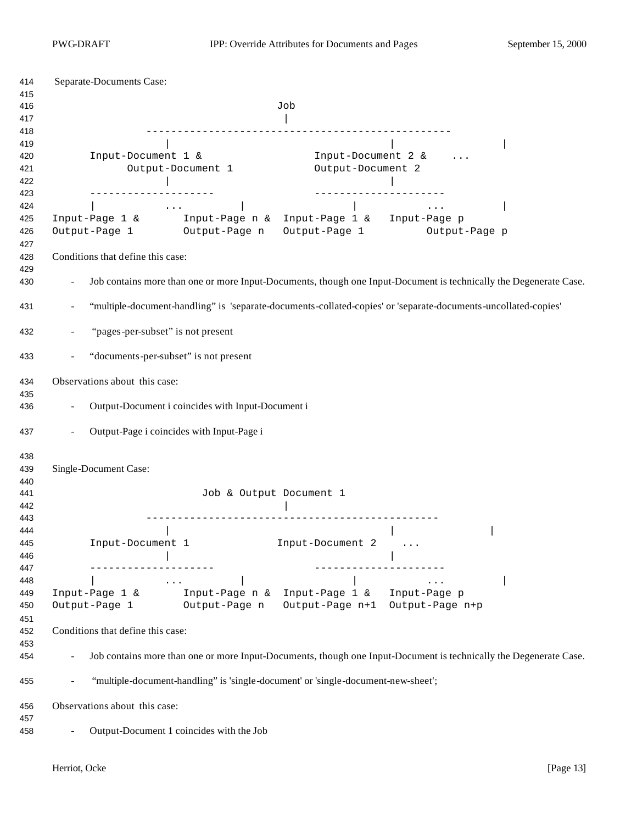| 414                             | Separate-Documents Case:                                                                                                                                                                                                                                                                                                                                                                                                                                                          |
|---------------------------------|-----------------------------------------------------------------------------------------------------------------------------------------------------------------------------------------------------------------------------------------------------------------------------------------------------------------------------------------------------------------------------------------------------------------------------------------------------------------------------------|
| 415<br>416                      | Job                                                                                                                                                                                                                                                                                                                                                                                                                                                                               |
| 417                             |                                                                                                                                                                                                                                                                                                                                                                                                                                                                                   |
| 418<br>419<br>420<br>421<br>422 | Input-Document 1 &<br>Input-Document 2 &<br>Output-Document 2<br>Output-Document 1                                                                                                                                                                                                                                                                                                                                                                                                |
| 423                             | ----------------<br>______________________                                                                                                                                                                                                                                                                                                                                                                                                                                        |
| 424<br>425<br>426<br>427        | $\sim$ $\sim$ $\sim$ $\sim$<br>$\ldots$ .<br>Input-Page 1 & Input-Page n & Input-Page 1 & Input-Page p<br>Output-Page 1 Output-Page n Output-Page 1<br>Output-Page p                                                                                                                                                                                                                                                                                                              |
| 428                             | Conditions that define this case:                                                                                                                                                                                                                                                                                                                                                                                                                                                 |
| 429<br>430                      | Job contains more than one or more Input-Documents, though one Input-Document is technically the Degenerate Case.                                                                                                                                                                                                                                                                                                                                                                 |
| 431                             | "multiple-document-handling" is 'separate-documents-collated-copies' or 'separate-documents-uncollated-copies'                                                                                                                                                                                                                                                                                                                                                                    |
| 432                             | "pages-per-subset" is not present                                                                                                                                                                                                                                                                                                                                                                                                                                                 |
| 433                             | "documents-per-subset" is not present                                                                                                                                                                                                                                                                                                                                                                                                                                             |
| 434                             | Observations about this case:                                                                                                                                                                                                                                                                                                                                                                                                                                                     |
| 435<br>436                      | Output-Document i coincides with Input-Document i                                                                                                                                                                                                                                                                                                                                                                                                                                 |
| 437                             | Output-Page i coincides with Input-Page i                                                                                                                                                                                                                                                                                                                                                                                                                                         |
| 438<br>439                      | Single-Document Case:                                                                                                                                                                                                                                                                                                                                                                                                                                                             |
| 440<br>441<br>442               | Job & Output Document 1                                                                                                                                                                                                                                                                                                                                                                                                                                                           |
| 443                             |                                                                                                                                                                                                                                                                                                                                                                                                                                                                                   |
| 444<br>445<br>446               | Input-Document 2<br>Input-Document 1                                                                                                                                                                                                                                                                                                                                                                                                                                              |
| 447<br>448                      | ------------------<br>$\mathcal{L}(\mathcal{L}(\mathcal{L}(\mathcal{L}(\mathcal{L}(\mathcal{L}(\mathcal{L}(\mathcal{L}(\mathcal{L}(\mathcal{L}(\mathcal{L}(\mathcal{L}(\mathcal{L}(\mathcal{L}(\mathcal{L}(\mathcal{L}(\mathcal{L}(\mathcal{L}(\mathcal{L}(\mathcal{L}(\mathcal{L}(\mathcal{L}(\mathcal{L}(\mathcal{L}(\mathcal{L}(\mathcal{L}(\mathcal{L}(\mathcal{L}(\mathcal{L}(\mathcal{L}(\mathcal{L}(\mathcal{L}(\mathcal{L}(\mathcal{L}(\mathcal{L}(\mathcal{L}(\mathcal{$ |
| 449<br>450                      | Input-Page 1 & Input-Page n & Input-Page 1 & Input-Page $p$<br>Output-Page 1 Output-Page n<br>Output-Page n+1 Output-Page n+p                                                                                                                                                                                                                                                                                                                                                     |
| 451<br>452                      | Conditions that define this case:                                                                                                                                                                                                                                                                                                                                                                                                                                                 |
| 453<br>454                      | Job contains more than one or more Input-Documents, though one Input-Document is technically the Degenerate Case.                                                                                                                                                                                                                                                                                                                                                                 |
| 455                             | "multiple-document-handling" is 'single-document' or 'single-document-new-sheet';                                                                                                                                                                                                                                                                                                                                                                                                 |
| 456                             | Observations about this case:                                                                                                                                                                                                                                                                                                                                                                                                                                                     |
| 457<br>458                      | Output-Document 1 coincides with the Job                                                                                                                                                                                                                                                                                                                                                                                                                                          |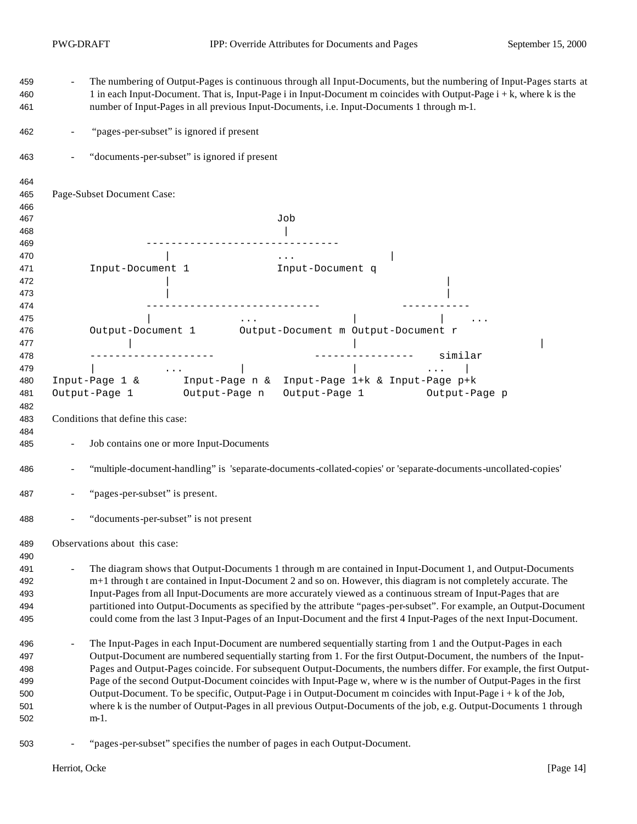| 459<br>460<br>461 | The numbering of Output-Pages is continuous through all Input-Documents, but the numbering of Input-Pages starts at<br>1 in each Input-Document. That is, Input-Page i in Input-Document m coincides with Output-Page i + k, where k is the<br>number of Input-Pages in all previous Input-Documents, i.e. Input-Documents 1 through m-1. |
|-------------------|-------------------------------------------------------------------------------------------------------------------------------------------------------------------------------------------------------------------------------------------------------------------------------------------------------------------------------------------|
| 462               | "pages-per-subset" is ignored if present                                                                                                                                                                                                                                                                                                  |
| 463               | "documents-per-subset" is ignored if present                                                                                                                                                                                                                                                                                              |
| 464               |                                                                                                                                                                                                                                                                                                                                           |
| 465               | Page-Subset Document Case:                                                                                                                                                                                                                                                                                                                |
| 466               |                                                                                                                                                                                                                                                                                                                                           |
| 467               | Job                                                                                                                                                                                                                                                                                                                                       |
| 468               |                                                                                                                                                                                                                                                                                                                                           |
| 469               |                                                                                                                                                                                                                                                                                                                                           |
| 470               | $\sim$ $\sim$ $\sim$ $\sim$ $\sim$                                                                                                                                                                                                                                                                                                        |
| 471<br>472        | Input-Document 1<br>Input-Document q                                                                                                                                                                                                                                                                                                      |
| 473               |                                                                                                                                                                                                                                                                                                                                           |
| 474               | -----------------------------                                                                                                                                                                                                                                                                                                             |
| 475               | $\mathbf{1} \bullet \mathbf{1} \bullet \mathbf{1}$ and $\mathbf{1} \bullet \mathbf{1} \bullet \mathbf{1}$ and $\mathbf{1} \bullet \mathbf{1} \bullet \mathbf{1}$                                                                                                                                                                          |
| 476               | Output-Document 1 Output-Document m Output-Document r                                                                                                                                                                                                                                                                                     |
| 477               |                                                                                                                                                                                                                                                                                                                                           |
| 478               | ---------------- similar                                                                                                                                                                                                                                                                                                                  |
| 479               | and the contract of the state of the con-                                                                                                                                                                                                                                                                                                 |
| 480               | Input-Page 1 & Input-Page n & Input-Page 1+ $k$ & Input-Page p+ $k$                                                                                                                                                                                                                                                                       |
| 481               | Output-Page 1 Output-Page n<br>Output-Page 1 Output-Page p                                                                                                                                                                                                                                                                                |
| 482               |                                                                                                                                                                                                                                                                                                                                           |
| 483               | Conditions that define this case:                                                                                                                                                                                                                                                                                                         |
| 484               |                                                                                                                                                                                                                                                                                                                                           |
| 485               | Job contains one or more Input-Documents                                                                                                                                                                                                                                                                                                  |
| 486               | "multiple-document-handling" is 'separate-documents-collated-copies' or 'separate-documents-uncollated-copies'                                                                                                                                                                                                                            |
| 487               | "pages-per-subset" is present.                                                                                                                                                                                                                                                                                                            |
| 488               | "documents-per-subset" is not present                                                                                                                                                                                                                                                                                                     |
| 489<br>490        | Observations about this case:                                                                                                                                                                                                                                                                                                             |
| 491               | The diagram shows that Output-Documents 1 through m are contained in Input-Document 1, and Output-Documents                                                                                                                                                                                                                               |
| 492               | m+1 through t are contained in Input-Document 2 and so on. However, this diagram is not completely accurate. The                                                                                                                                                                                                                          |
| 493               | Input-Pages from all Input-Documents are more accurately viewed as a continuous stream of Input-Pages that are                                                                                                                                                                                                                            |
| 494               | partitioned into Output-Documents as specified by the attribute "pages-per-subset". For example, an Output-Document                                                                                                                                                                                                                       |
| 495               | could come from the last 3 Input-Pages of an Input-Document and the first 4 Input-Pages of the next Input-Document.                                                                                                                                                                                                                       |
| 496               | The Input-Pages in each Input-Document are numbered sequentially starting from 1 and the Output-Pages in each                                                                                                                                                                                                                             |
| 497               | Output-Document are numbered sequentially starting from 1. For the first Output-Document, the numbers of the Input-                                                                                                                                                                                                                       |
| 498               | Pages and Output-Pages coincide. For subsequent Output-Documents, the numbers differ. For example, the first Output-                                                                                                                                                                                                                      |
| 499               | Page of the second Output-Document coincides with Input-Page w, where w is the number of Output-Pages in the first                                                                                                                                                                                                                        |
| 500               | Output-Document. To be specific, Output-Page i in Output-Document m coincides with Input-Page i + k of the Job,                                                                                                                                                                                                                           |
| 501               | where k is the number of Output-Pages in all previous Output-Documents of the job, e.g. Output-Documents 1 through                                                                                                                                                                                                                        |
| 502               | $m-1$ .                                                                                                                                                                                                                                                                                                                                   |
| 503               | "pages-per-subset" specifies the number of pages in each Output-Document.                                                                                                                                                                                                                                                                 |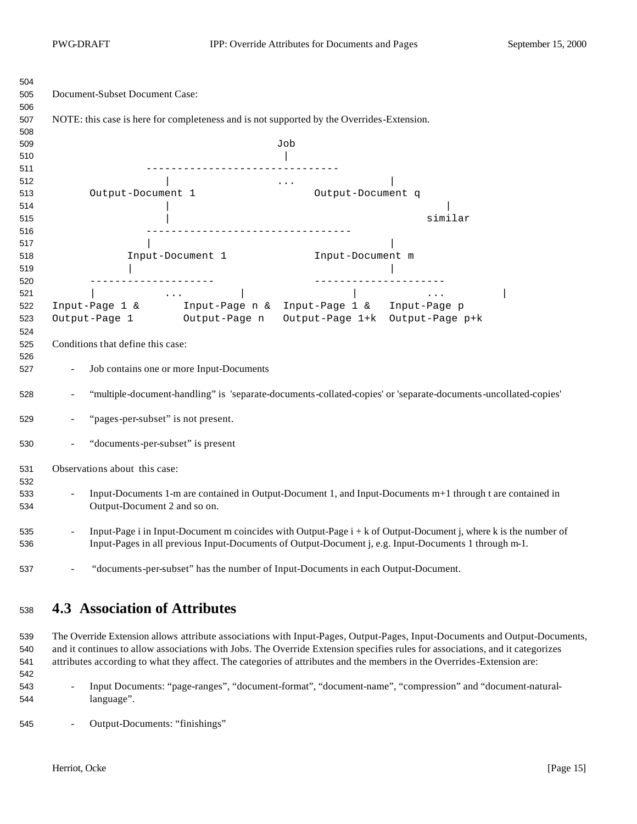| 504        |                                                                                                                                                |  |  |  |
|------------|------------------------------------------------------------------------------------------------------------------------------------------------|--|--|--|
| 505        | Document-Subset Document Case:                                                                                                                 |  |  |  |
| 506        |                                                                                                                                                |  |  |  |
| 507        | NOTE: this case is here for completeness and is not supported by the Overrides-Extension.                                                      |  |  |  |
| 508        |                                                                                                                                                |  |  |  |
| 509        | Job                                                                                                                                            |  |  |  |
| 510        |                                                                                                                                                |  |  |  |
| 511        | ____________________________________                                                                                                           |  |  |  |
| 512        | $\mathcal{L}_{\text{max}}$ and $\mathcal{L}_{\text{max}}$ . In the $\mathcal{L}_{\text{max}}$                                                  |  |  |  |
| 513        | Output-Document 1<br>Output-Document q                                                                                                         |  |  |  |
| 514        |                                                                                                                                                |  |  |  |
| 515        | similar                                                                                                                                        |  |  |  |
| 516        |                                                                                                                                                |  |  |  |
| 517        |                                                                                                                                                |  |  |  |
| 518        | Input-Document 1<br>Input-Document m                                                                                                           |  |  |  |
| 519        |                                                                                                                                                |  |  |  |
| 520        | ---------------------<br>_______________________                                                                                               |  |  |  |
| 521        | Input-Page 1 & Input-Page n & Input-Page 1 & Input-Page p                                                                                      |  |  |  |
| 522        | Output-Page 1 Output-Page n                                                                                                                    |  |  |  |
| 523        | Output-Page 1+k Output-Page p+k                                                                                                                |  |  |  |
| 524        | Conditions that define this case:                                                                                                              |  |  |  |
| 525        |                                                                                                                                                |  |  |  |
| 526<br>527 | Job contains one or more Input-Documents                                                                                                       |  |  |  |
|            |                                                                                                                                                |  |  |  |
| 528        | "multiple-document-handling" is 'separate-documents-collated-copies' or 'separate-documents-uncollated-copies'                                 |  |  |  |
| 529        | "pages-per-subset" is not present.                                                                                                             |  |  |  |
| 530        | "documents-per-subset" is present                                                                                                              |  |  |  |
| 531        | Observations about this case:                                                                                                                  |  |  |  |
| 532        |                                                                                                                                                |  |  |  |
| 533        | Input-Documents 1-m are contained in Output-Document 1, and Input-Documents m+1 through t are contained in                                     |  |  |  |
| 534        | Output-Document 2 and so on.                                                                                                                   |  |  |  |
| 535        | Input-Page i in Input-Document m coincides with Output-Page $i + k$ of Output-Document j, where k is the number of<br>$\overline{\phantom{a}}$ |  |  |  |
| 536        | Input-Pages in all previous Input-Documents of Output-Document j, e.g. Input-Documents 1 through m-1.                                          |  |  |  |
| 537        | "documents-per-subset" has the number of Input-Documents in each Output-Document.<br>$\overline{\phantom{a}}$                                  |  |  |  |

## **4.3 Association of Attributes**

 The Override Extension allows attribute associations with Input-Pages, Output-Pages, Input-Documents and Output-Documents, and it continues to allow associations with Jobs. The Override Extension specifies rules for associations, and it categorizes attributes according to what they affect. The categories of attributes and the members in the Overrides-Extension are:

- Input Documents: "page-ranges", "document-format", "document-name", "compression" and "document-natural-language".
- Output-Documents: "finishings"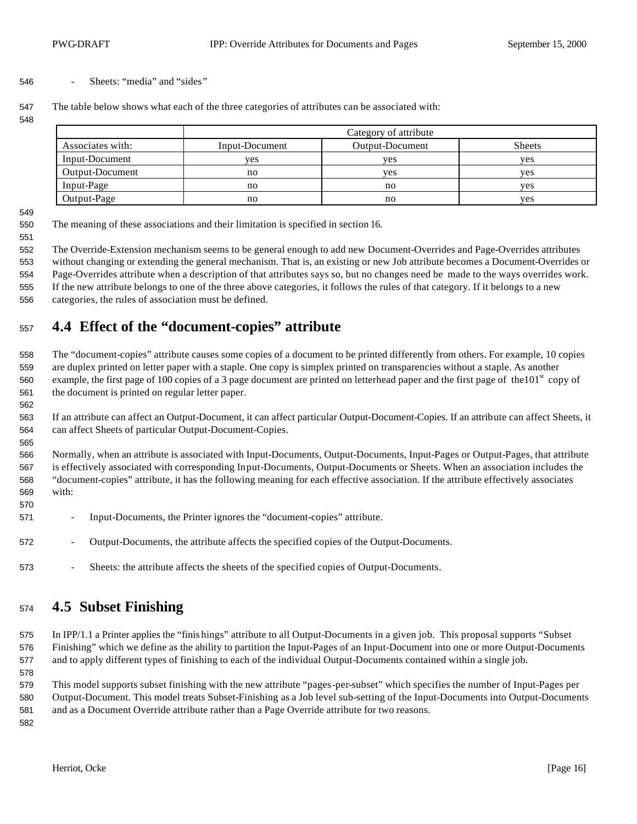#### - Sheets: "media" and "sides"

The table below shows what each of the three categories of attributes can be associated with:

|                  |                | Category of attribute |               |
|------------------|----------------|-----------------------|---------------|
| Associates with: | Input-Document | Output-Document       | <b>Sheets</b> |
| Input-Document   | ves            | ves                   | <b>ves</b>    |
| Output-Document  | no             | <b>ves</b>            | <b>ves</b>    |
| Input-Page       | no             | no                    | yes           |
| Output-Page      | no             | no                    | yes           |

The meaning of these associations and their limitation is specified in section 16.

 The Override-Extension mechanism seems to be general enough to add new Document-Overrides and Page-Overrides attributes without changing or extending the general mechanism. That is, an existing or new Job attribute becomes a Document-Overrides or Page-Overrides attribute when a description of that attributes says so, but no changes need be made to the ways overrides work.

 If the new attribute belongs to one of the three above categories, it follows the rules of that category. If it belongs to a new categories, the rules of association must be defined.

## **4.4 Effect of the "document-copies" attribute**

 The "document-copies" attribute causes some copies of a document to be printed differently from others. For example, 10 copies are duplex printed on letter paper with a staple. One copy is simplex printed on transparencies without a staple. As another 560 example, the first page of 100 copies of a 3 page document are printed on letterhead paper and the first page of the101st copy of the document is printed on regular letter paper.

 If an attribute can affect an Output-Document, it can affect particular Output-Document-Copies. If an attribute can affect Sheets, it can affect Sheets of particular Output-Document-Copies.

 Normally, when an attribute is associated with Input-Documents, Output-Documents, Input-Pages or Output-Pages, that attribute is effectively associated with corresponding Input-Documents, Output-Documents or Sheets. When an association includes the "document-copies" attribute, it has the following meaning for each effective association. If the attribute effectively associates with:

- Input-Documents, the Printer ignores the "document-copies" attribute.
- Output-Documents, the attribute affects the specified copies of the Output-Documents.
- 573 Sheets: the attribute affects the sheets of the specified copies of Output-Documents.

### **4.5 Subset Finishing**

 In IPP/1.1 a Printer applies the "finis hings" attribute to all Output-Documents in a given job. This proposal supports "Subset Finishing" which we define as the ability to partition the Input-Pages of an Input-Document into one or more Output-Documents and to apply different types of finishing to each of the individual Output-Documents contained within a single job.

 This model supports subset finishing with the new attribute "pages-per-subset" which specifies the number of Input-Pages per Output-Document. This model treats Subset-Finishing as a Job level sub-setting of the Input-Documents into Output-Documents and as a Document Override attribute rather than a Page Override attribute for two reasons. 

Herriot, Ocke [Page 16]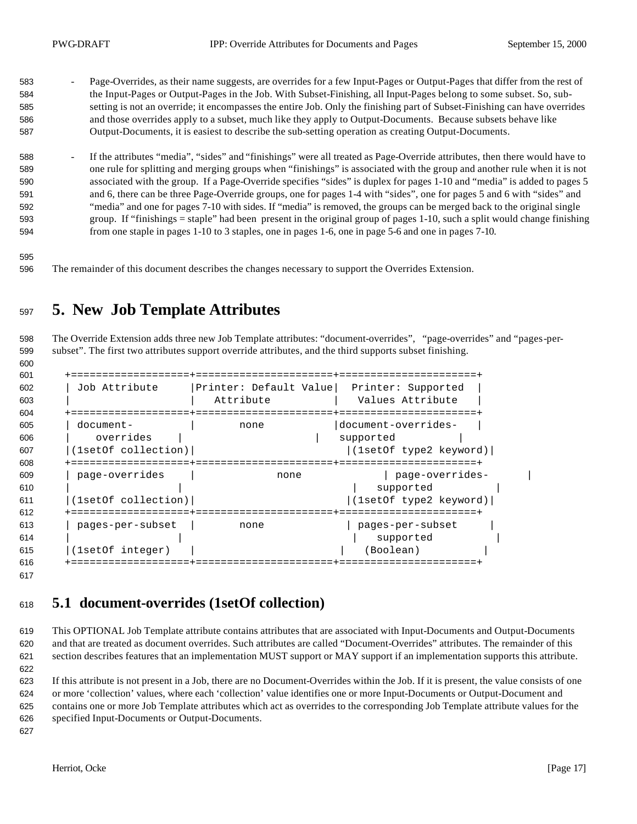- 583 Page-Overrides, as their name suggests, are overrides for a few Input-Pages or Output-Pages that differ from the rest of the Input-Pages or Output-Pages in the Job. With Subset-Finishing, all Input-Pages belong to some subset. So, sub- setting is not an override; it encompasses the entire Job. Only the finishing part of Subset-Finishing can have overrides and those overrides apply to a subset, much like they apply to Output-Documents. Because subsets behave like Output-Documents, it is easiest to describe the sub-setting operation as creating Output-Documents.
- 588 <sup>-</sup> If the attributes "media", "sides" and "finishings" were all treated as Page-Override attributes, then there would have to one rule for splitting and merging groups when "finishings" is associated with the group and another rule when it is not associated with the group. If a Page-Override specifies "sides" is duplex for pages 1-10 and "media" is added to pages 5 and 6, there can be three Page-Override groups, one for pages 1-4 with "sides", one for pages 5 and 6 with "sides" and "media" and one for pages 7-10 with sides. If "media" is removed, the groups can be merged back to the original single group. If "finishings = staple" had been present in the original group of pages 1-10, such a split would change finishing from one staple in pages 1-10 to 3 staples, one in pages 1-6, one in page 5-6 and one in pages 7-10.
- 

The remainder of this document describes the changes necessary to support the Overrides Extension.

# **5. New Job Template Attributes**

 The Override Extension adds three new Job Template attributes: "document-overrides", "page-overrides" and "pages-per-subset". The first two attributes support override attributes, and the third supports subset finishing.

| 601 |                     |                        |                        |  |
|-----|---------------------|------------------------|------------------------|--|
| 602 | Job Attribute       | Printer: Default Value | Printer: Supported     |  |
| 603 |                     | Attribute              | Values Attribute       |  |
| 604 | ===========         |                        | ==================     |  |
| 605 | document-           | none                   | document-overrides-    |  |
| 606 | overrides           |                        | supported              |  |
| 607 | (1setOf collection) |                        | (1setOf type2 keyword) |  |
| 608 |                     |                        |                        |  |
| 609 | page-overrides      | none                   | page-overrides-        |  |
| 610 |                     |                        | supported              |  |
| 611 | (1setOf collection) |                        | (1setOf type2 keyword) |  |
| 612 | ========            |                        | ==================     |  |
| 613 | pages-per-subset    | none                   | pages-per-subset       |  |
| 614 |                     |                        | supported              |  |
| 615 | (1setOf integer)    |                        | (Boolean)              |  |
| 616 |                     |                        |                        |  |
|     |                     |                        |                        |  |

## **5.1 document-overrides (1setOf collection)**

 This OPTIONAL Job Template attribute contains attributes that are associated with Input-Documents and Output-Documents and that are treated as document overrides. Such attributes are called "Document-Overrides" attributes. The remainder of this section describes features that an implementation MUST support or MAY support if an implementation supports this attribute. 

 If this attribute is not present in a Job, there are no Document-Overrides within the Job. If it is present, the value consists of one or more 'collection' values, where each 'collection' value identifies one or more Input-Documents or Output-Document and contains one or more Job Template attributes which act as overrides to the corresponding Job Template attribute values for the specified Input-Documents or Output-Documents.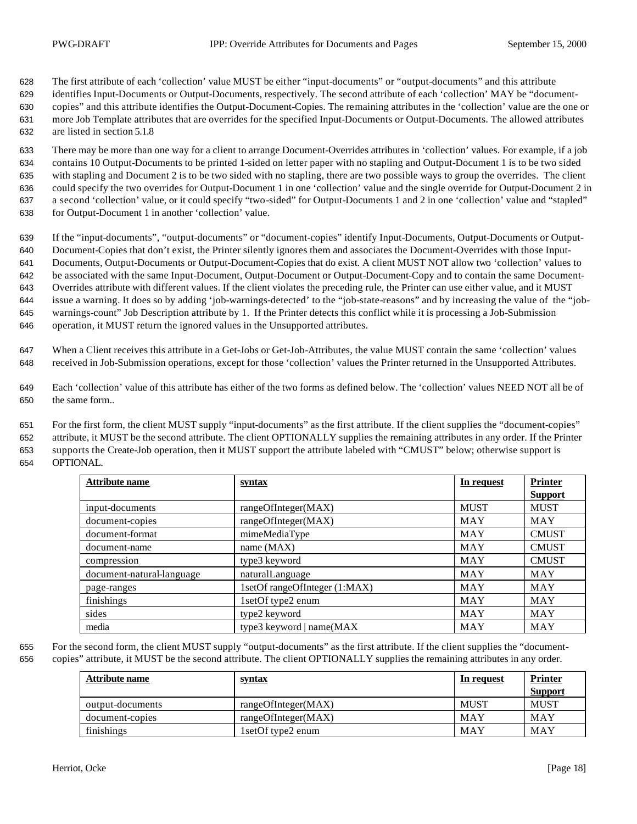The first attribute of each 'collection' value MUST be either "input-documents" or "output-documents" and this attribute identifies Input-Documents or Output-Documents, respectively. The second attribute of each 'collection' MAY be "document- copies" and this attribute identifies the Output-Document-Copies. The remaining attributes in the 'collection' value are the one or more Job Template attributes that are overrides for the specified Input-Documents or Output-Documents. The allowed attributes are listed in section 5.1.8

 There may be more than one way for a client to arrange Document-Overrides attributes in 'collection' values. For example, if a job contains 10 Output-Documents to be printed 1-sided on letter paper with no stapling and Output-Document 1 is to be two sided with stapling and Document 2 is to be two sided with no stapling, there are two possible ways to group the overrides. The client could specify the two overrides for Output-Document 1 in one 'collection' value and the single override for Output-Document 2 in a second 'collection' value, or it could specify "two-sided" for Output-Documents 1 and 2 in one 'collection' value and "stapled" for Output-Document 1 in another 'collection' value.

 If the "input-documents", "output-documents" or "document-copies" identify Input-Documents, Output-Documents or Output- Document-Copies that don't exist, the Printer silently ignores them and associates the Document-Overrides with those Input- Documents, Output-Documents or Output-Document-Copies that do exist. A client MUST NOT allow two 'collection' values to be associated with the same Input-Document, Output-Document or Output-Document-Copy and to contain the same Document- Overrides attribute with different values. If the client violates the preceding rule, the Printer can use either value, and it MUST issue a warning. It does so by adding 'job-warnings-detected' to the "job-state-reasons" and by increasing the value of the "job- warnings-count" Job Description attribute by 1. If the Printer detects this conflict while it is processing a Job-Submission operation, it MUST return the ignored values in the Unsupported attributes.

 When a Client receives this attribute in a Get-Jobs or Get-Job-Attributes, the value MUST contain the same 'collection' values received in Job-Submission operations, except for those 'collection' values the Printer returned in the Unsupported Attributes.

 Each 'collection' value of this attribute has either of the two forms as defined below. The 'collection' values NEED NOT all be of the same form..

 For the first form, the client MUST supply "input-documents" as the first attribute. If the client supplies the "document-copies" attribute, it MUST be the second attribute. The client OPTIONALLY supplies the remaining attributes in any order. If the Printer supports the Create-Job operation, then it MUST support the attribute labeled with "CMUST" below; otherwise support is OPTIONAL.

| <b>Attribute name</b>     | <u>syntax</u>                 | In request  | <b>Printer</b> |
|---------------------------|-------------------------------|-------------|----------------|
|                           |                               |             | <b>Support</b> |
| input-documents           | rangeOfInteger(MAX)           | <b>MUST</b> | <b>MUST</b>    |
| document-copies           | rangeOfInteger(MAX)           | <b>MAY</b>  | <b>MAY</b>     |
| document-format           | mimeMediaType                 | <b>MAY</b>  | <b>CMUST</b>   |
| document-name             | name $(MAX)$                  | MAY         | <b>CMUST</b>   |
| compression               | type3 keyword                 | MAY         | <b>CMUST</b>   |
| document-natural-language | naturalLanguage               | MAY         | <b>MAY</b>     |
| page-ranges               | 1setOf rangeOfInteger (1:MAX) | MAY         | <b>MAY</b>     |
| finishings                | 1setOf type2 enum             | MAY         | MAY            |
| sides                     | type2 keyword                 | <b>MAY</b>  | <b>MAY</b>     |
| media                     | type3 keyword   $name(MAX)$   | <b>MAY</b>  | <b>MAY</b>     |

 For the second form, the client MUST supply "output-documents" as the first attribute. If the client supplies the "document-copies" attribute, it MUST be the second attribute. The client OPTIONALLY supplies the remaining attributes in any order.

| Attribute name   | <u>syntax</u>       | In request  | <b>Printer</b><br><b>Support</b> |
|------------------|---------------------|-------------|----------------------------------|
| output-documents | rangeOfInteger(MAX) | <b>MUST</b> | <b>MUST</b>                      |
| document-copies  | rangeOfInteger(MAX) | MAY         | MAY                              |
| finishings       | 1setOf type2 enum   | MAY         | MAY                              |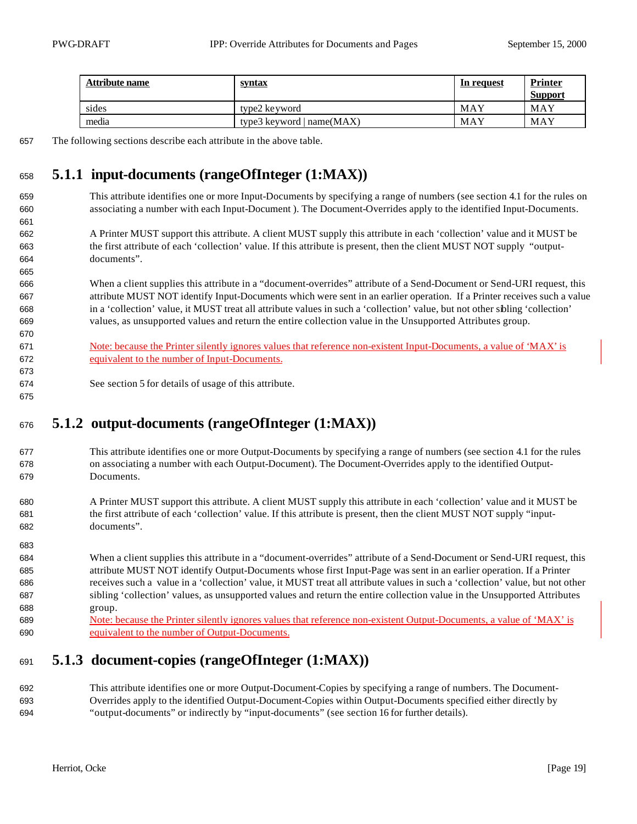| Attribute name | <u>syntax</u>               | In request | <b>Printer</b> |
|----------------|-----------------------------|------------|----------------|
|                |                             |            | <b>Support</b> |
| sides          | type2 ke yword              | MAY        | MAY            |
| media          | type3 keyword $ name(MAX) $ | MAY        | MAY            |

The following sections describe each attribute in the above table.

### **5.1.1 input-documents (rangeOfInteger (1:MAX))**

- This attribute identifies one or more Input-Documents by specifying a range of numbers (see section 4.1 for the rules on associating a number with each Input-Document ). The Document-Overrides apply to the identified Input-Documents.
- A Printer MUST support this attribute. A client MUST supply this attribute in each 'collection' value and it MUST be the first attribute of each 'collection' value. If this attribute is present, then the client MUST NOT supply "output-documents".
- When a client supplies this attribute in a "document-overrides" attribute of a Send-Document or Send-URI request, this attribute MUST NOT identify Input-Documents which were sent in an earlier operation. If a Printer receives such a value in a 'collection' value, it MUST treat all attribute values in such a 'collection' value, but not other sibling 'collection' values, as unsupported values and return the entire collection value in the Unsupported Attributes group.
- Note: because the Printer silently ignores values that reference non-existent Input-Documents, a value of 'MAX' is equivalent to the number of Input-Documents.
- See section 5 for details of usage of this attribute.

### **5.1.2 output-documents (rangeOfInteger (1:MAX))**

- This attribute identifies one or more Output-Documents by specifying a range of numbers (see section 4.1 for the rules on associating a number with each Output-Document). The Document-Overrides apply to the identified Output-Documents.
- A Printer MUST support this attribute. A client MUST supply this attribute in each 'collection' value and it MUST be the first attribute of each 'collection' value. If this attribute is present, then the client MUST NOT supply "input-documents".
- When a client supplies this attribute in a "document-overrides" attribute of a Send-Document or Send-URI request, this attribute MUST NOT identify Output-Documents whose first Input-Page was sent in an earlier operation. If a Printer receives such a value in a 'collection' value, it MUST treat all attribute values in such a 'collection' value, but not other sibling 'collection' values, as unsupported values and return the entire collection value in the Unsupported Attributes group.
- Note: because the Printer silently ignores values that reference non-existent Output-Documents, a value of 'MAX' is equivalent to the number of Output-Documents.

## **5.1.3 document-copies (rangeOfInteger (1:MAX))**

 This attribute identifies one or more Output-Document-Copies by specifying a range of numbers. The Document- Overrides apply to the identified Output-Document-Copies within Output-Documents specified either directly by "output-documents" or indirectly by "input-documents" (see section 16 for further details).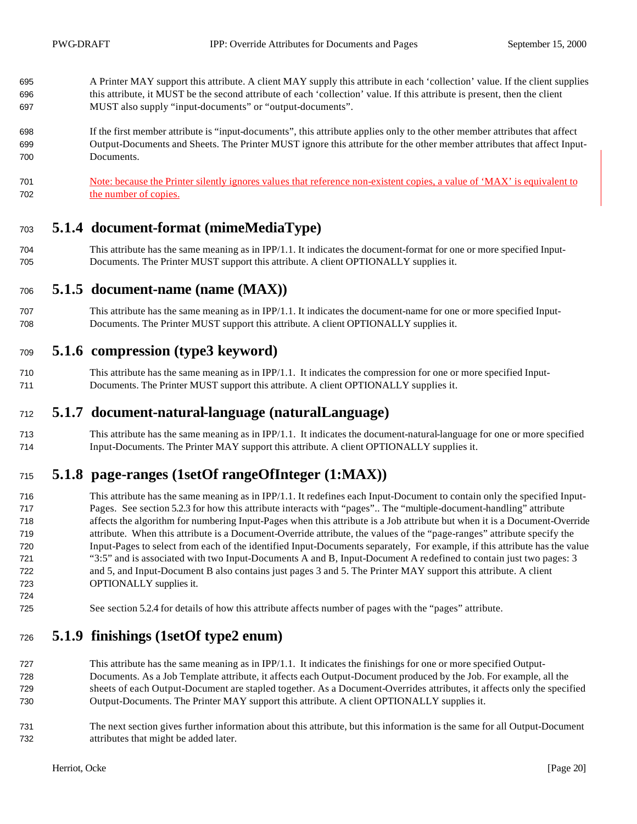- A Printer MAY support this attribute. A client MAY supply this attribute in each 'collection' value. If the client supplies this attribute, it MUST be the second attribute of each 'collection' value. If this attribute is present, then the client MUST also supply "input-documents" or "output-documents".
- If the first member attribute is "input-documents", this attribute applies only to the other member attributes that affect Output-Documents and Sheets. The Printer MUST ignore this attribute for the other member attributes that affect Input-Documents.
- Note: because the Printer silently ignores values that reference non-existent copies, a value of 'MAX' is equivalent to the number of copies.

#### **5.1.4 document-format (mimeMediaType)**

 This attribute has the same meaning as in IPP/1.1. It indicates the document-format for one or more specified Input-Documents. The Printer MUST support this attribute. A client OPTIONALLY supplies it.

#### **5.1.5 document-name (name (MAX))**

 This attribute has the same meaning as in IPP/1.1. It indicates the document-name for one or more specified Input-Documents. The Printer MUST support this attribute. A client OPTIONALLY supplies it.

#### **5.1.6 compression (type3 keyword)**

 This attribute has the same meaning as in IPP/1.1. It indicates the compression for one or more specified Input-Documents. The Printer MUST support this attribute. A client OPTIONALLY supplies it.

#### **5.1.7 document-natural-language (naturalLanguage)**

 This attribute has the same meaning as in IPP/1.1. It indicates the document-natural-language for one or more specified Input-Documents. The Printer MAY support this attribute. A client OPTIONALLY supplies it.

### **5.1.8 page-ranges (1setOf rangeOfInteger (1:MAX))**

- This attribute has the same meaning as in IPP/1.1. It redefines each Input-Document to contain only the specified Input- Pages. See section 5.2.3 for how this attribute interacts with "pages".. The "multiple-document-handling" attribute affects the algorithm for numbering Input-Pages when this attribute is a Job attribute but when it is a Document-Override attribute. When this attribute is a Document-Override attribute, the values of the "page-ranges" attribute specify the Input-Pages to select from each of the identified Input-Documents separately, For example, if this attribute has the value "3:5" and is associated with two Input-Documents A and B, Input-Document A redefined to contain just two pages: 3 and 5, and Input-Document B also contains just pages 3 and 5. The Printer MAY support this attribute. A client OPTIONALLY supplies it.
- See section 5.2.4 for details of how this attribute affects number of pages with the "pages" attribute.

#### **5.1.9 finishings (1setOf type2 enum)**

- This attribute has the same meaning as in IPP/1.1. It indicates the finishings for one or more specified Output- Documents. As a Job Template attribute, it affects each Output-Document produced by the Job. For example, all the sheets of each Output-Document are stapled together. As a Document-Overrides attributes, it affects only the specified Output-Documents. The Printer MAY support this attribute. A client OPTIONALLY supplies it.
- The next section gives further information about this attribute, but this information is the same for all Output-Document attributes that might be added later.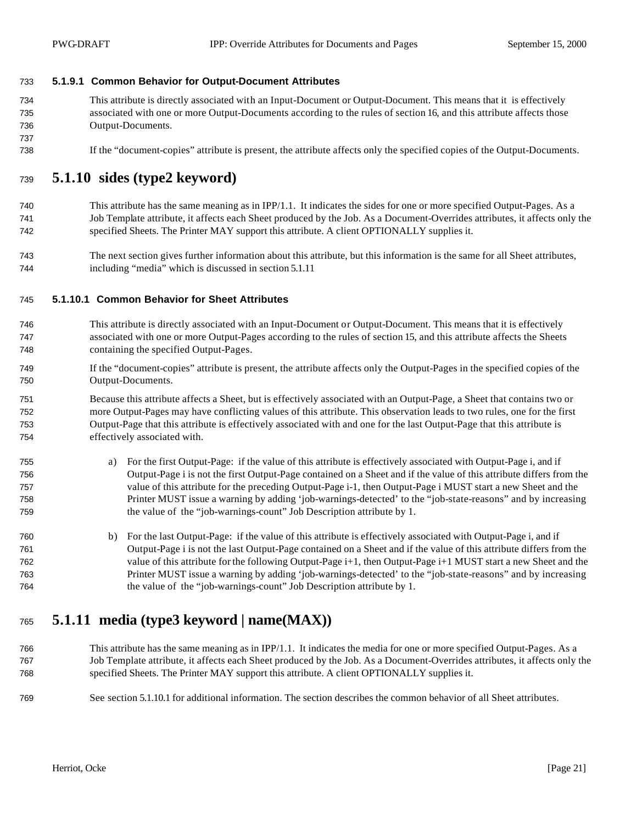#### **5.1.9.1 Common Behavior for Output-Document Attributes**

- This attribute is directly associated with an Input-Document or Output-Document. This means that it is effectively associated with one or more Output-Documents according to the rules of section 16, and this attribute affects those Output-Documents.
- If the "document-copies" attribute is present, the attribute affects only the specified copies of the Output-Documents.

#### **5.1.10 sides (type2 keyword)**

- This attribute has the same meaning as in IPP/1.1. It indicates the sides for one or more specified Output-Pages. As a Job Template attribute, it affects each Sheet produced by the Job. As a Document-Overrides attributes, it affects only the specified Sheets. The Printer MAY support this attribute. A client OPTIONALLY supplies it.
- The next section gives further information about this attribute, but this information is the same for all Sheet attributes, including "media" which is discussed in section 5.1.11

#### **5.1.10.1 Common Behavior for Sheet Attributes**

- This attribute is directly associated with an Input-Document or Output-Document. This means that it is effectively associated with one or more Output-Pages according to the rules of section 15, and this attribute affects the Sheets containing the specified Output-Pages.
- If the "document-copies" attribute is present, the attribute affects only the Output-Pages in the specified copies of the Output-Documents.
- Because this attribute affects a Sheet, but is effectively associated with an Output-Page, a Sheet that contains two or more Output-Pages may have conflicting values of this attribute. This observation leads to two rules, one for the first Output-Page that this attribute is effectively associated with and one for the last Output-Page that this attribute is effectively associated with.
- a) For the first Output-Page: if the value of this attribute is effectively associated with Output-Page i, and if Output-Page i is not the first Output-Page contained on a Sheet and if the value of this attribute differs from the value of this attribute for the preceding Output-Page i-1, then Output-Page i MUST start a new Sheet and the Printer MUST issue a warning by adding 'job-warnings-detected' to the "job-state-reasons" and by increasing the value of the "job-warnings-count" Job Description attribute by 1.
- b) For the last Output-Page: if the value of this attribute is effectively associated with Output-Page i, and if Output-Page i is not the last Output-Page contained on a Sheet and if the value of this attribute differs from the value of this attribute for the following Output-Page i+1, then Output-Page i+1 MUST start a new Sheet and the Printer MUST issue a warning by adding 'job-warnings-detected' to the "job-state-reasons" and by increasing the value of the "job-warnings-count" Job Description attribute by 1.

## **5.1.11 media (type3 keyword | name(MAX))**

- This attribute has the same meaning as in IPP/1.1. It indicates the media for one or more specified Output-Pages. As a Job Template attribute, it affects each Sheet produced by the Job. As a Document-Overrides attributes, it affects only the specified Sheets. The Printer MAY support this attribute. A client OPTIONALLY supplies it.
- See section 5.1.10.1 for additional information. The section describes the common behavior of all Sheet attributes.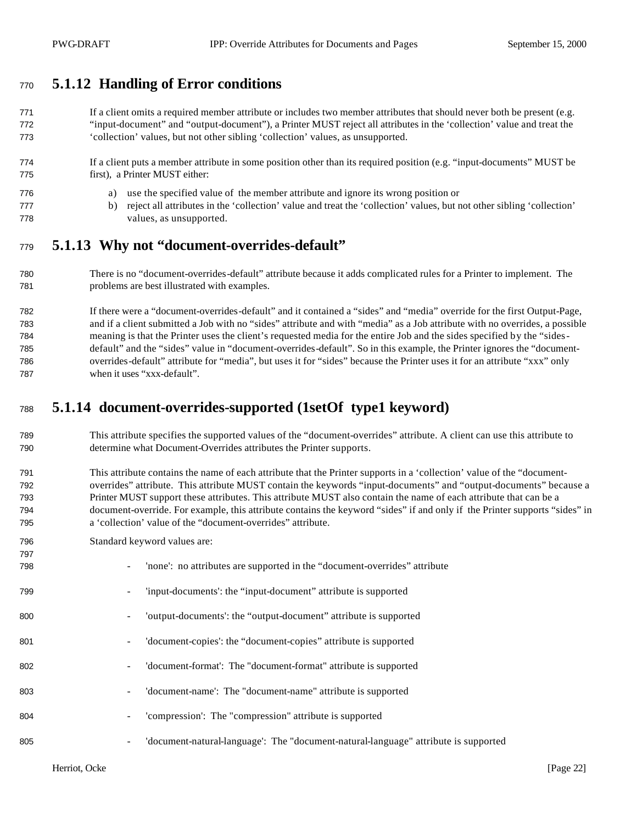### **5.1.12 Handling of Error conditions**

771 If a client omits a required member attribute or includes two member attributes that should never both be present (e.g. "input-document" and "output-document"), a Printer MUST reject all attributes in the 'collection' value and treat the 'collection' values, but not other sibling 'collection' values, as unsupported.

#### If a client puts a member attribute in some position other than its required position (e.g. "input-documents" MUST be first), a Printer MUST either:

- a) use the specified value of the member attribute and ignore its wrong position or
- b) reject all attributes in the 'collection' value and treat the 'collection' values, but not other sibling 'collection' values, as unsupported.

#### **5.1.13 Why not "document-overrides-default"**

 There is no "document-overrides-default" attribute because it adds complicated rules for a Printer to implement. The problems are best illustrated with examples.

 If there were a "document-overrides-default" and it contained a "sides" and "media" override for the first Output-Page, and if a client submitted a Job with no "sides" attribute and with "media" as a Job attribute with no overrides, a possible meaning is that the Printer uses the client's requested media for the entire Job and the sides specified by the "sides- default" and the "sides" value in "document-overrides-default". So in this example, the Printer ignores the "document- overrides-default" attribute for "media", but uses it for "sides" because the Printer uses it for an attribute "xxx" only when it uses "xxx-default".

## **5.1.14 document-overrides-supported (1setOf type1 keyword)**

- This attribute specifies the supported values of the "document-overrides" attribute. A client can use this attribute to determine what Document-Overrides attributes the Printer supports.
- This attribute contains the name of each attribute that the Printer supports in a 'collection' value of the "document- overrides" attribute. This attribute MUST contain the keywords "input-documents" and "output-documents" because a Printer MUST support these attributes. This attribute MUST also contain the name of each attribute that can be a document-override. For example, this attribute contains the keyword "sides" if and only if the Printer supports "sides" in a 'collection' value of the "document-overrides" attribute.
- Standard keyword values are:

| 797 |                                                                                     |
|-----|-------------------------------------------------------------------------------------|
| 798 | 'none': no attributes are supported in the "document-overrides" attribute           |
| 799 | 'input-documents': the "input-document" attribute is supported                      |
| 800 | 'output-documents': the "output-document" attribute is supported                    |
| 801 | 'document-copies': the "document-copies" attribute is supported                     |
| 802 | 'document-format': The "document-format" attribute is supported                     |
| 803 | 'document-name': The "document-name" attribute is supported                         |
| 804 | 'compression': The "compression" attribute is supported                             |
| 805 | 'document-natural-language': The "document-natural-language" attribute is supported |
|     |                                                                                     |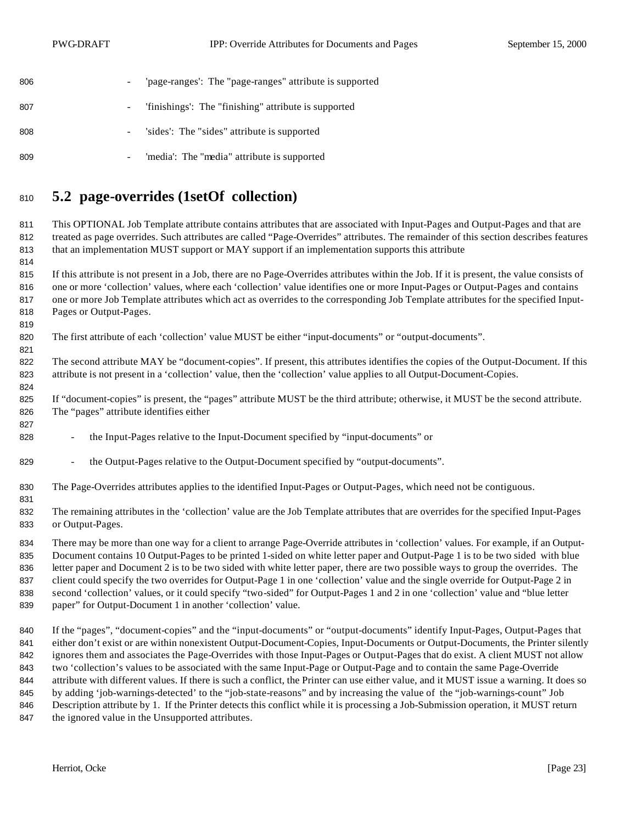| 806 | $\overline{\phantom{a}}$ | 'page-ranges': The "page-ranges" attribute is supported |
|-----|--------------------------|---------------------------------------------------------|
| 807 | $\sim 100$               | 'finishings': The "finishing" attribute is supported    |
| 808 | $\overline{\phantom{0}}$ | sides: The "sides" attribute is supported               |
| 809 | -                        | 'media': The "media" attribute is supported             |

## **5.2 page-overrides (1setOf collection)**

 This OPTIONAL Job Template attribute contains attributes that are associated with Input-Pages and Output-Pages and that are treated as page overrides. Such attributes are called "Page-Overrides" attributes. The remainder of this section describes features that an implementation MUST support or MAY support if an implementation supports this attribute

 If this attribute is not present in a Job, there are no Page-Overrides attributes within the Job. If it is present, the value consists of one or more 'collection' values, where each 'collection' value identifies one or more Input-Pages or Output-Pages and contains one or more Job Template attributes which act as overrides to the corresponding Job Template attributes for the specified Input-Pages or Output-Pages.

The first attribute of each 'collection' value MUST be either "input-documents" or "output-documents".

 The second attribute MAY be "document-copies". If present, this attributes identifies the copies of the Output-Document. If this attribute is not present in a 'collection' value, then the 'collection' value applies to all Output-Document-Copies.

 If "document-copies" is present, the "pages" attribute MUST be the third attribute; otherwise, it MUST be the second attribute. The "pages" attribute identifies either

- the Input-Pages relative to the Input-Document specified by "input-documents" or
- 829 the Output-Pages relative to the Output-Document specified by "output-documents".
- The Page-Overrides attributes applies to the identified Input-Pages or Output-Pages, which need not be contiguous.
- 

 The remaining attributes in the 'collection' value are the Job Template attributes that are overrides for the specified Input-Pages or Output-Pages.

 There may be more than one way for a client to arrange Page-Override attributes in 'collection' values. For example, if an Output- Document contains 10 Output-Pages to be printed 1-sided on white letter paper and Output-Page 1 is to be two sided with blue letter paper and Document 2 is to be two sided with white letter paper, there are two possible ways to group the overrides. The client could specify the two overrides for Output-Page 1 in one 'collection' value and the single override for Output-Page 2 in second 'collection' values, or it could specify "two-sided" for Output-Pages 1 and 2 in one 'collection' value and "blue letter paper" for Output-Document 1 in another 'collection' value.

 If the "pages", "document-copies" and the "input-documents" or "output-documents" identify Input-Pages, Output-Pages that either don't exist or are within nonexistent Output-Document-Copies, Input-Documents or Output-Documents, the Printer silently ignores them and associates the Page-Overrides with those Input-Pages or Output-Pages that do exist. A client MUST not allow two 'collection's values to be associated with the same Input-Page or Output-Page and to contain the same Page-Override attribute with different values. If there is such a conflict, the Printer can use either value, and it MUST issue a warning. It does so by adding 'job-warnings-detected' to the "job-state-reasons" and by increasing the value of the "job-warnings-count" Job Description attribute by 1. If the Printer detects this conflict while it is processing a Job-Submission operation, it MUST return

847 the ignored value in the Unsupported attributes.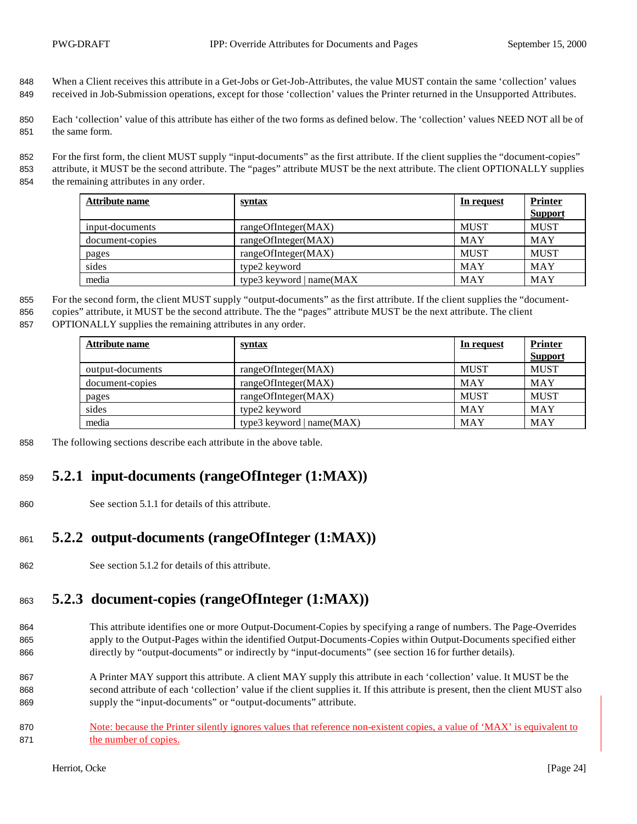- 848 When a Client receives this attribute in a Get-Jobs or Get-Job-Attributes, the value MUST contain the same 'collection' values 849 received in Job-Submission operations, except for those 'collection' values the Printer returned in the Unsupported Attributes.
- 850 Each 'collection' value of this attribute has either of the two forms as defined below. The 'collection' values NEED NOT all be of 851 the same form.
- 852 For the first form, the client MUST supply "input-documents" as the first attribute. If the client supplies the "document-copies" 853 attribute, it MUST be the second attribute. The "pages" attribute MUST be the next attribute. The client OPTIONALLY supplies
- 854 the remaining attributes in any order.

| Attribute name  | <u>syntax</u>               | In request  | <b>Printer</b> |
|-----------------|-----------------------------|-------------|----------------|
|                 |                             |             | <b>Support</b> |
| input-documents | rangeOfInteger(MAX)         | MUST        | <b>MUST</b>    |
| document-copies | rangeOfInteger(MAX)         | MAY         | MAY            |
| pages           | rangeOfInteger(MAX)         | <b>MUST</b> | <b>MUST</b>    |
| sides           | type2 keyword               | MAY         | <b>MAY</b>     |
| media           | type3 keyword   $name(MAX)$ | MAY         | MAY            |

- 855 For the second form, the client MUST supply "output-documents" as the first attribute. If the client supplies the "document-856 copies" attribute, it MUST be the second attribute. The the "pages" attribute MUST be the next attribute. The client
- 857 OPTIONALLY supplies the remaining attributes in any order.

| Attribute name   | <u>syntax</u>               | In request  | <b>Printer</b> |
|------------------|-----------------------------|-------------|----------------|
|                  |                             |             | <b>Support</b> |
| output-documents | rangeOfInteger(MAX)         | <b>MUST</b> | <b>MUST</b>    |
| document-copies  | rangeOfInteger(MAX)         | MAY         | MAY            |
| pages            | rangeOfInteger(MAX)         | <b>MUST</b> | <b>MUST</b>    |
| sides            | type2 keyword               | MAY         | MAY            |
| media            | type3 keyword $ name(MAX) $ | MAY         | MAY            |

858 The following sections describe each attribute in the above table.

# <sup>859</sup> **5.2.1 input-documents (rangeOfInteger (1:MAX))**

860 See section 5.1.1 for details of this attribute.

## <sup>861</sup> **5.2.2 output-documents (rangeOfInteger (1:MAX))**

862 See section 5.1.2 for details of this attribute.

# <sup>863</sup> **5.2.3 document-copies (rangeOfInteger (1:MAX))**

- 864 This attribute identifies one or more Output-Document-Copies by specifying a range of numbers. The Page-Overrides 865 apply to the Output-Pages within the identified Output-Documents-Copies within Output-Documents specified either 866 directly by "output-documents" or indirectly by "input-documents" (see section 16 for further details).
- 867 A Printer MAY support this attribute. A client MAY supply this attribute in each 'collection' value. It MUST be the 868 second attribute of each 'collection' value if the client supplies it. If this attribute is present, then the client MUST also 869 supply the "input-documents" or "output-documents" attribute.
- 870 Note: because the Printer silently ignores values that reference non-existent copies, a value of 'MAX' is equivalent to 871 the number of copies.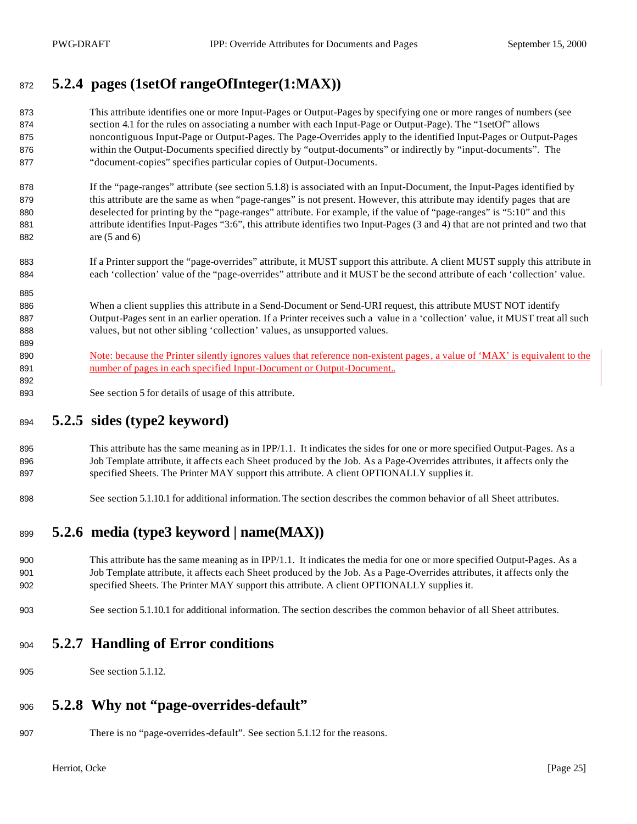## **5.2.4 pages (1setOf rangeOfInteger(1:MAX))**

- This attribute identifies one or more Input-Pages or Output-Pages by specifying one or more ranges of numbers (see section 4.1 for the rules on associating a number with each Input-Page or Output-Page). The "1setOf" allows noncontiguous Input-Page or Output-Pages. The Page-Overrides apply to the identified Input-Pages or Output-Pages within the Output-Documents specified directly by "output-documents" or indirectly by "input-documents". The "document-copies" specifies particular copies of Output-Documents.
- 878 If the "page-ranges" attribute (see section 5.1.8) is associated with an Input-Document, the Input-Pages identified by 879 this attribute are the same as when "page-ranges" is not present. However, this attribute may identify pages that are deselected for printing by the "page-ranges" attribute. For example, if the value of "page-ranges" is "5:10" and this attribute identifies Input-Pages "3:6", this attribute identifies two Input-Pages (3 and 4) that are not printed and two that are (5 and 6)
- If a Printer support the "page-overrides" attribute, it MUST support this attribute. A client MUST supply this attribute in each 'collection' value of the "page-overrides" attribute and it MUST be the second attribute of each 'collection' value.
- 886 When a client supplies this attribute in a Send-Document or Send-URI request, this attribute MUST NOT identify Output-Pages sent in an earlier operation. If a Printer receives such a value in a 'collection' value, it MUST treat all such values, but not other sibling 'collection' values, as unsupported values.
- 890 Note: because the Printer silently ignores values that reference non-existent pages, a value of 'MAX' is equivalent to the **number of pages in each specified Input-Document or Output-Document..**
- See section 5 for details of usage of this attribute.

### **5.2.5 sides (type2 keyword)**

- 895 This attribute has the same meaning as in IPP/1.1. It indicates the sides for one or more specified Output-Pages. As a Job Template attribute, it affects each Sheet produced by the Job. As a Page-Overrides attributes, it affects only the specified Sheets. The Printer MAY support this attribute. A client OPTIONALLY supplies it.
- See section 5.1.10.1 for additional information. The section describes the common behavior of all Sheet attributes.

## **5.2.6 media (type3 keyword | name(MAX))**

- This attribute has the same meaning as in IPP/1.1. It indicates the media for one or more specified Output-Pages. As a Job Template attribute, it affects each Sheet produced by the Job. As a Page-Overrides attributes, it affects only the specified Sheets. The Printer MAY support this attribute. A client OPTIONALLY supplies it.
- See section 5.1.10.1 for additional information. The section describes the common behavior of all Sheet attributes.

#### **5.2.7 Handling of Error conditions**

See section 5.1.12.

### **5.2.8 Why not "page-overrides-default"**

There is no "page-overrides-default". See section 5.1.12 for the reasons.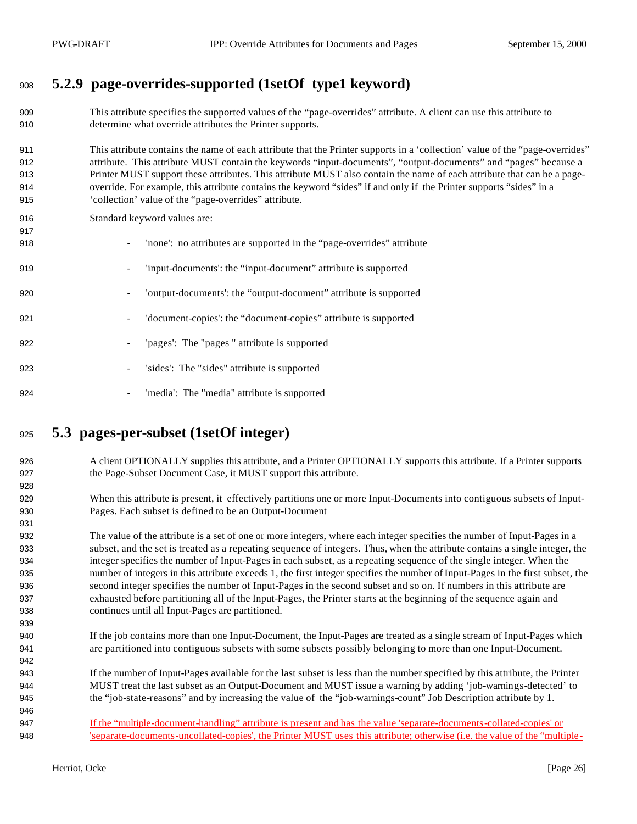# **5.2.9 page-overrides-supported (1setOf type1 keyword)**

- This attribute specifies the supported values of the "page-overrides" attribute. A client can use this attribute to determine what override attributes the Printer supports.
- This attribute contains the name of each attribute that the Printer supports in a 'collection' value of the "page-overrides" attribute. This attribute MUST contain the keywords "input-documents", "output-documents" and "pages" because a Printer MUST support these attributes. This attribute MUST also contain the name of each attribute that can be a page- override. For example, this attribute contains the keyword "sides" if and only if the Printer supports "sides" in a 'collection' value of the "page-overrides" attribute.
- Standard keyword values are:
- 918 'none': no attributes are supported in the "page-overrides" attribute - 'input-documents': the "input-document" attribute is supported - 'output-documents': the "output-document" attribute is supported - 'document-copies': the "document-copies" attribute is supported - 'pages': The "pages " attribute is supported - 'sides': The "sides" attribute is supported 924 - 'media': The "media" attribute is supported

### **5.3 pages-per-subset (1setOf integer)**

- 926 A client OPTIONALLY supplies this attribute, and a Printer OPTIONALLY supports this attribute. If a Printer supports the Page-Subset Document Case, it MUST support this attribute.
- When this attribute is present, it effectively partitions one or more Input-Documents into contiguous subsets of Input-Pages. Each subset is defined to be an Output-Document
- The value of the attribute is a set of one or more integers, where each integer specifies the number of Input-Pages in a subset, and the set is treated as a repeating sequence of integers. Thus, when the attribute contains a single integer, the integer specifies the number of Input-Pages in each subset, as a repeating sequence of the single integer. When the number of integers in this attribute exceeds 1, the first integer specifies the number of Input-Pages in the first subset, the second integer specifies the number of Input-Pages in the second subset and so on. If numbers in this attribute are exhausted before partitioning all of the Input-Pages, the Printer starts at the beginning of the sequence again and continues until all Input-Pages are partitioned.
- If the job contains more than one Input-Document, the Input-Pages are treated as a single stream of Input-Pages which are partitioned into contiguous subsets with some subsets possibly belonging to more than one Input-Document.
- If the number of Input-Pages available for the last subset is less than the number specified by this attribute, the Printer MUST treat the last subset as an Output-Document and MUST issue a warning by adding 'job-warnings-detected' to the "job-state-reasons" and by increasing the value of the "job-warnings-count" Job Description attribute by 1.
- If the "multiple-document-handling" attribute is present and has the value 'separate-documents-collated-copies' or 'separate-documents-uncollated-copies', the Printer MUST uses this attribute; otherwise (i.e. the value of the "multiple-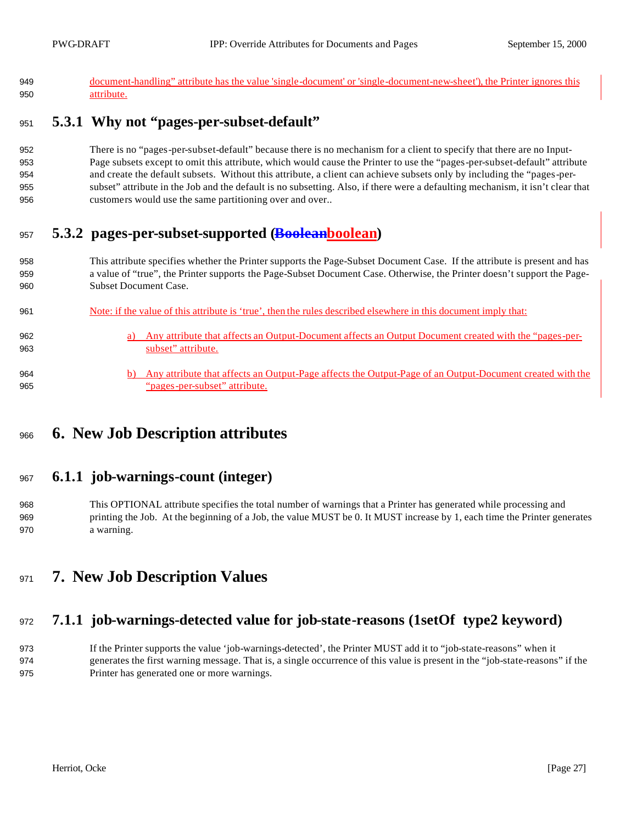| document-handling" attribute has the value 'single-document' or 'single-document-new-sheet'), the Printer ignores this                                                                                                                                                              |
|-------------------------------------------------------------------------------------------------------------------------------------------------------------------------------------------------------------------------------------------------------------------------------------|
| attribute.                                                                                                                                                                                                                                                                          |
| 5.3.1 Why not "pages-per-subset-default"                                                                                                                                                                                                                                            |
| There is no "pages-per-subset-default" because there is no mechanism for a client to specify that there are no Input-                                                                                                                                                               |
| Page subsets except to omit this attribute, which would cause the Printer to use the "pages-per-subset-default" attribute                                                                                                                                                           |
| and create the default subsets. Without this attribute, a client can achieve subsets only by including the "pages-per-                                                                                                                                                              |
| subset" attribute in the Job and the default is no subsetting. Also, if there were a defaulting mechanism, it isn't clear that                                                                                                                                                      |
| customers would use the same partitioning over and over                                                                                                                                                                                                                             |
| 5.3.2 pages-per-subset-supported (Booleanboolean)                                                                                                                                                                                                                                   |
| This attribute specifies whether the Printer supports the Page-Subset Document Case. If the attribute is present and has<br>a value of "true", the Printer supports the Page-Subset Document Case. Otherwise, the Printer doesn't support the Page-<br><b>Subset Document Case.</b> |
|                                                                                                                                                                                                                                                                                     |

| 961        | Note: if the value of this attribute is 'true', then the rules described elsewhere in this document imply that:                   |
|------------|-----------------------------------------------------------------------------------------------------------------------------------|
| 962<br>963 | Any attribute that affects an Output-Document affects an Output Document created with the "pages-per-<br>a)<br>subset" attribute. |
|            |                                                                                                                                   |
| 964        | Any attribute that affects an Output-Page affects the Output-Page of an Output-Document created with the<br>b)                    |
| 965        | "pages-per-subset" attribute.                                                                                                     |

# **6. New Job Description attributes**

### **6.1.1 job-warnings-count (integer)**

- This OPTIONAL attribute specifies the total number of warnings that a Printer has generated while processing and printing the Job. At the beginning of a Job, the value MUST be 0. It MUST increase by 1, each time the Printer generates a warning.
- **7. New Job Description Values**

## **7.1.1 job-warnings-detected value for job-state-reasons (1setOf type2 keyword)**

 If the Printer supports the value 'job-warnings-detected', the Printer MUST add it to "job-state-reasons" when it generates the first warning message. That is, a single occurrence of this value is present in the "job-state-reasons" if the Printer has generated one or more warnings.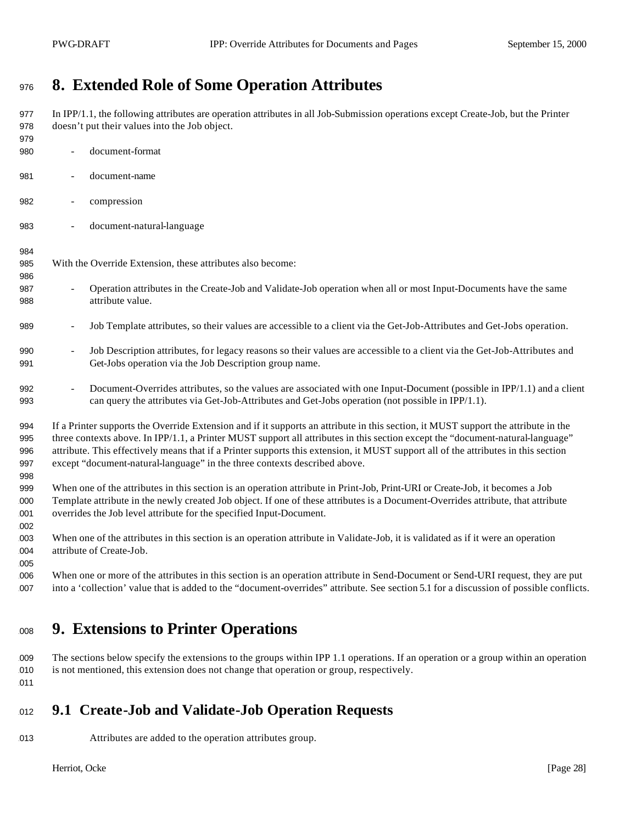# **8. Extended Role of Some Operation Attributes**

 In IPP/1.1, the following attributes are operation attributes in all Job-Submission operations except Create-Job, but the Printer doesn't put their values into the Job object. - document-format

- document-name
- compression
- document-natural-language

#### 

With the Override Extension, these attributes also become:

- Operation attributes in the Create-Job and Validate-Job operation when all or most Input-Documents have the same attribute value.
- 989 Job Template attributes, so their values are accessible to a client via the Get-Job-Attributes and Get-Jobs operation.
- Job Description attributes, for legacy reasons so their values are accessible to a client via the Get-Job-Attributes and Get-Jobs operation via the Job Description group name.
- 992 Document-Overrides attributes, so the values are associated with one Input-Document (possible in IPP/1.1) and a client can query the attributes via Get-Job-Attributes and Get-Jobs operation (not possible in IPP/1.1).
- If a Printer supports the Override Extension and if it supports an attribute in this section, it MUST support the attribute in the three contexts above. In IPP/1.1, a Printer MUST support all attributes in this section except the "document-natural-language" attribute. This effectively means that if a Printer supports this extension, it MUST support all of the attributes in this section except "document-natural-language" in the three contexts described above.
- When one of the attributes in this section is an operation attribute in Print-Job, Print-URI or Create-Job, it becomes a Job Template attribute in the newly created Job object. If one of these attributes is a Document-Overrides attribute, that attribute overrides the Job level attribute for the specified Input-Document.
- When one of the attributes in this section is an operation attribute in Validate-Job, it is validated as if it were an operation 004 attribute of Create-Job.
- When one or more of the attributes in this section is an operation attribute in Send-Document or Send-URI request, they are put into a 'collection' value that is added to the "document-overrides" attribute. See section 5.1 for a discussion of possible conflicts.

# **9. Extensions to Printer Operations**

 The sections below specify the extensions to the groups within IPP 1.1 operations. If an operation or a group within an operation is not mentioned, this extension does not change that operation or group, respectively.

#### 

### **9.1 Create-Job and Validate-Job Operation Requests**

- 
- Attributes are added to the operation attributes group.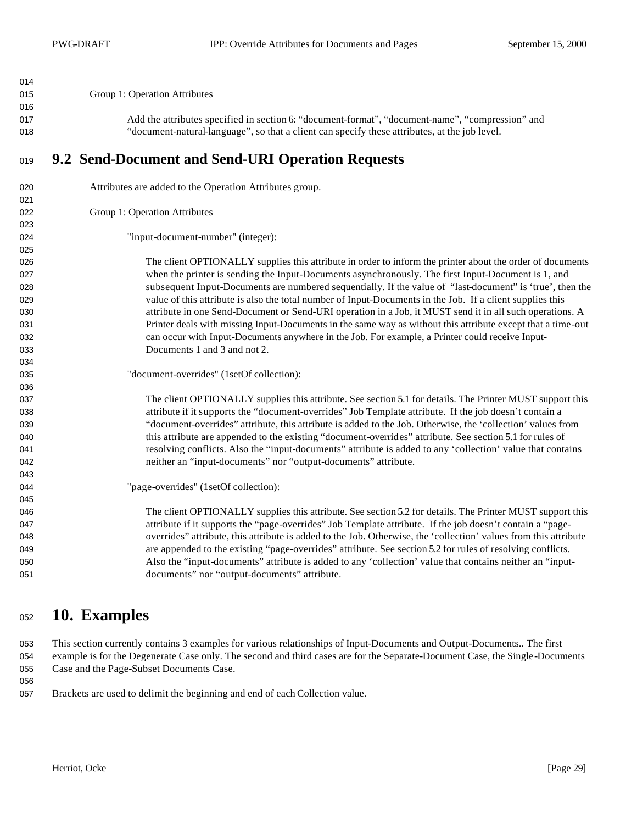| 014        |                                                                                                                  |
|------------|------------------------------------------------------------------------------------------------------------------|
| 015        | Group 1: Operation Attributes                                                                                    |
| 016        |                                                                                                                  |
| 017        | Add the attributes specified in section 6: "document-format", "document-name", "compression" and                 |
| 018        | "document-natural-language", so that a client can specify these attributes, at the job level.                    |
| 019        | 9.2 Send-Document and Send-URI Operation Requests                                                                |
| 020        | Attributes are added to the Operation Attributes group.                                                          |
| 021        |                                                                                                                  |
| 022        | Group 1: Operation Attributes                                                                                    |
| 023        |                                                                                                                  |
| 024        | "input-document-number" (integer):                                                                               |
| 025        | The client OPTIONALLY supplies this attribute in order to inform the printer about the order of documents        |
| 026<br>027 | when the printer is sending the Input-Documents asynchronously. The first Input-Document is 1, and               |
| 028        | subsequent Input-Documents are numbered sequentially. If the value of "last-document" is 'true', then the        |
| 029        | value of this attribute is also the total number of Input-Documents in the Job. If a client supplies this        |
| 030        | attribute in one Send-Document or Send-URI operation in a Job, it MUST send it in all such operations. A         |
| 031        | Printer deals with missing Input-Documents in the same way as without this attribute except that a time-out      |
| 032        | can occur with Input-Documents anywhere in the Job. For example, a Printer could receive Input-                  |
| 033        | Documents 1 and 3 and not 2.                                                                                     |
| 034        |                                                                                                                  |
| 035        | "document-overrides" (1setOf collection):                                                                        |
| 036        |                                                                                                                  |
| 037        | The client OPTIONALLY supplies this attribute. See section 5.1 for details. The Printer MUST support this        |
| 038        | attribute if it supports the "document-overrides" Job Template attribute. If the job doesn't contain a           |
| 039        | "document-overrides" attribute, this attribute is added to the Job. Otherwise, the 'collection' values from      |
| 040        | this attribute are appended to the existing "document-overrides" attribute. See section 5.1 for rules of         |
| 041        | resolving conflicts. Also the "input-documents" attribute is added to any 'collection' value that contains       |
| 042        | neither an "input-documents" nor "output-documents" attribute.                                                   |
| 043        |                                                                                                                  |
| 044        | "page-overrides" (1setOf collection):                                                                            |
| 045        |                                                                                                                  |
| 046        | The client OPTIONALLY supplies this attribute. See section 5.2 for details. The Printer MUST support this        |
| 047        | attribute if it supports the "page-overrides" Job Template attribute. If the job doesn't contain a "page-        |
| 048        | overrides" attribute, this attribute is added to the Job. Otherwise, the 'collection' values from this attribute |
| 049        | are appended to the existing "page-overrides" attribute. See section 5.2 for rules of resolving conflicts.       |
| 050        | Also the "input-documents" attribute is added to any 'collection' value that contains neither an "input-         |
| 051        | documents" nor "output-documents" attribute.                                                                     |

# **10. Examples**

 This section currently contains 3 examples for various relationships of Input-Documents and Output-Documents.. The first example is for the Degenerate Case only. The second and third cases are for the Separate-Document Case, the Single-Documents 055 Case and the Page-Subset Documents Case.

Brackets are used to delimit the beginning and end of each Collection value.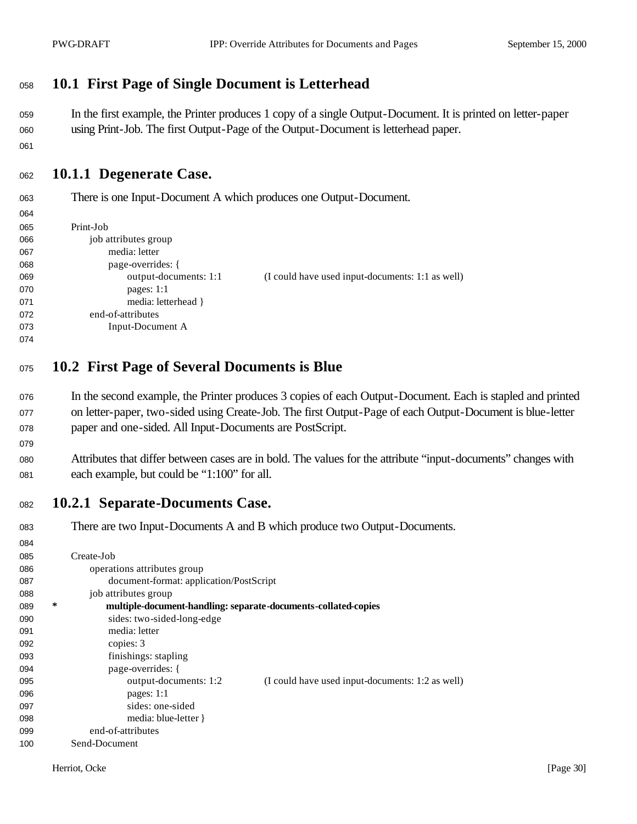### <sup>1058</sup> **10.1 First Page of Single Document is Letterhead**

<sup>1059</sup> In the first example, the Printer produces 1 copy of a single Output-Document. It is printed on letter-paper <sup>1060</sup> using Print-Job. The first Output-Page of the Output-Document is letterhead paper.

1061

 $064$ 

079

#### <sup>1062</sup> **10.1.1 Degenerate Case.**

<sup>1063</sup> There is one Input-Document A which produces one Output-Document.

| דש  |                       |                                                  |
|-----|-----------------------|--------------------------------------------------|
| 065 | Print-Job             |                                                  |
| 066 | job attributes group  |                                                  |
| 067 | media: letter         |                                                  |
| 068 | page-overrides: {     |                                                  |
| 069 | output-documents: 1:1 | (I could have used input-documents: 1:1 as well) |
| 070 | pages: $1:1$          |                                                  |
| 071 | media: letterhead }   |                                                  |
| 072 | end-of-attributes     |                                                  |
| 073 | Input-Document A      |                                                  |
| 074 |                       |                                                  |

- <sup>1075</sup> **10.2 First Page of Several Documents is Blue**
- <sup>1076</sup> In the second example, the Printer produces 3 copies of each Output-Document. Each is stapled and printed <sup>1077</sup> on letter-paper, two-sided using Create-Job. The first Output-Page of each Output-Document is blue-letter <sup>1078</sup> paper and one-sided. All Input-Documents are PostScript.
- <sup>1080</sup> Attributes that differ between cases are in bold. The values for the attribute "input-documents" changes with 081 each example, but could be "1:100" for all.
- <sup>1082</sup> **10.2.1 Separate-Documents Case.**

| 083 |   | There are two Input-Documents A and B which produce two Output-Documents. |
|-----|---|---------------------------------------------------------------------------|
| 084 |   |                                                                           |
| 085 |   | Create-Job                                                                |
| 086 |   | operations attributes group                                               |
| 087 |   | document-format: application/PostScript                                   |
| 088 |   | job attributes group                                                      |
| 089 | ∗ | multiple-document-handling: separate-documents-collated-copies            |
| 090 |   | sides: two-sided-long-edge                                                |
| 091 |   | media: letter                                                             |
| 092 |   | copies: 3                                                                 |
| 093 |   | finishings: stapling                                                      |
| 094 |   | page-overrides: {                                                         |
| 095 |   | output-documents: 1:2<br>(I could have used input-documents: 1:2 as well) |
| 096 |   | pages: $1:1$                                                              |
| 097 |   | sides: one-sided                                                          |
| 098 |   | media: blue-letter }                                                      |
| 099 |   | end-of-attributes                                                         |
| 100 |   | Send-Document                                                             |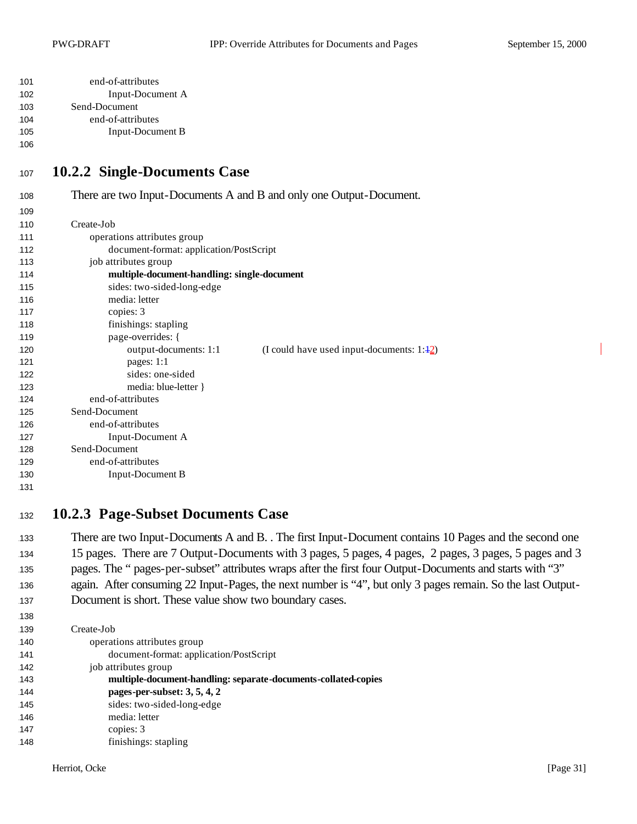| 101 | end-of-attributes |
|-----|-------------------|
| 102 | Input-Document A  |
| 103 | Send-Document     |
| 104 | end-of-attributes |
| 105 | Input-Document B  |

#### <sup>1107</sup> **10.2.2 Single-Documents Case**

<sup>1108</sup> There are two Input-Documents A and B and only one Output-Document. 109 110 Create-Job 111 operations attributes group 1112 document-format: application/PostScript 113 job attributes group 1114 **multiple-document-handling: single-document** 115 sides: two-sided-long-edge 116 media: letter 117 copies: 3 118 finishings: stapling 119 **page-overrides:** { 120 output-documents: 1:1 (I could have used input-documents: 1:42) 121 **pages:** 1:1 122 sides: one-sided 123 media: blue-letter } 124 end-of-attributes 125 Send-Document 126 end-of-attributes 127 Input-Document A 128 Send-Document 129 end-of-attributes 130 Input-Document B 131

#### <sup>1132</sup> **10.2.3 Page-Subset Documents Case**

133 There are two Input-Documents A and B. . The first Input-Document contains 10 Pages and the second one <sup>1134</sup> 15 pages. There are 7 Output-Documents with 3 pages, 5 pages, 4 pages, 2 pages, 3 pages, 5 pages and 3 <sup>1135</sup> pages. The " pages-per-subset" attributes wraps after the first four Output-Documents and starts with "3" 136 again. After consuming 22 Input-Pages, the next number is "4", but only 3 pages remain. So the last Output-137 Document is short. These value show two boundary cases.

1139 Create-Job 140 operations attributes group 1141 document-format: application/PostScript 142 job attributes group 1143 **multiple-document-handling: separate-documents-collated-copies** 1144 **pages-per-subset: 3, 5, 4, 2** 145 sides: two-sided-long-edge 1146 media: letter 147 copies: 3 148 **finishings:** stapling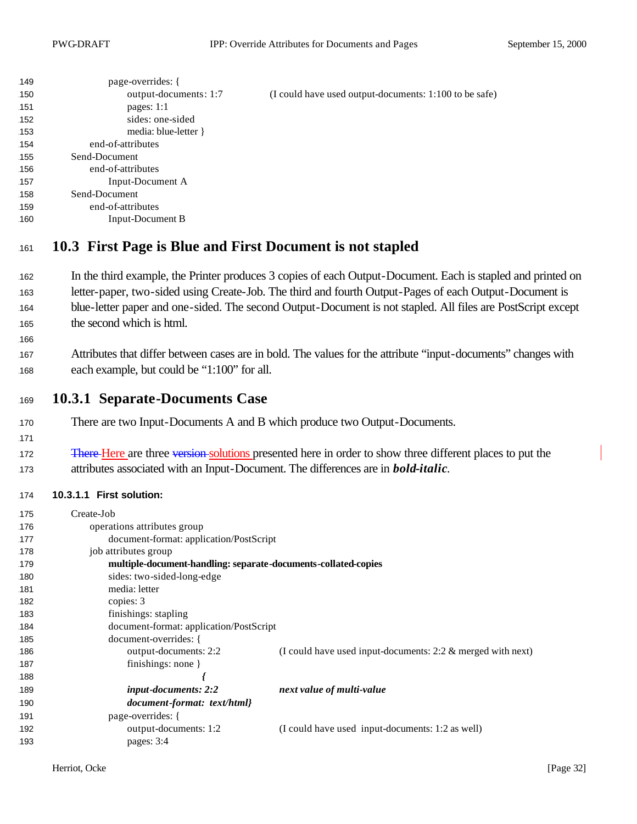| 149 | page-overrides: {                                         |                                                        |
|-----|-----------------------------------------------------------|--------------------------------------------------------|
| 150 | output-documents: 1:7                                     | (I could have used output-documents: 1:100 to be safe) |
| 151 | pages: $1:1$                                              |                                                        |
| 152 | sides: one-sided                                          |                                                        |
| 153 | media: blue-letter }                                      |                                                        |
| 154 | end-of-attributes                                         |                                                        |
| 155 | Send-Document                                             |                                                        |
| 156 | end-of-attributes                                         |                                                        |
| 157 | Input-Document A                                          |                                                        |
| 158 | Send-Document                                             |                                                        |
| 159 | end-of-attributes                                         |                                                        |
| 160 | Input-Document B                                          |                                                        |
|     |                                                           |                                                        |
| 161 | 10.3 First Page is Blue and First Document is not stapled |                                                        |

- 162 In the third example, the Printer produces 3 copies of each Output-Document. Each is stapled and printed on 163 letter-paper, two-sided using Create-Job. The third and fourth Output-Pages of each Output-Document is 164 blue-letter paper and one-sided. The second Output-Document is not stapled. All files are PostScript except 165 the second which is html.
- 167 Attributes that differ between cases are in bold. The values for the attribute "input-documents" changes with 168 each example, but could be "1:100" for all.
- <sup>1169</sup> **10.3.1 Separate-Documents Case**
- 170 There are two Input-Documents A and B which produce two Output-Documents.
- 1171

172 There Here are three version solutions presented here in order to show three different places to put the <sup>1173</sup> attributes associated with an Input-Document. The differences are in *bold-italic*.

#### 1174 **10.3.1.1 First solution:**

| 175 | Create-Job                                                     |                                                                |
|-----|----------------------------------------------------------------|----------------------------------------------------------------|
| 176 | operations attributes group                                    |                                                                |
| 177 | document-format: application/PostScript                        |                                                                |
| 178 | job attributes group                                           |                                                                |
| 179 | multiple-document-handling: separate-documents-collated-copies |                                                                |
| 180 | sides: two-sided-long-edge                                     |                                                                |
| 181 | media: letter                                                  |                                                                |
| 182 | copies: 3                                                      |                                                                |
| 183 | finishings: stapling                                           |                                                                |
| 184 | document-format: application/PostScript                        |                                                                |
| 185 | document-overrides: {                                          |                                                                |
| 186 | output-documents: 2:2                                          | (I could have used input-documents: $2:2 \&$ merged with next) |
| 187 | finishings: none $\}$                                          |                                                                |
| 188 |                                                                |                                                                |
| 189 | <i>input-documents: 2:2</i>                                    | next value of multi-value                                      |
| 190 | document-format: text/html}                                    |                                                                |
| 191 | page-overrides: {                                              |                                                                |
| 192 | output-documents: 1:2                                          | (I could have used input-documents: 1:2 as well)               |
| 193 | pages: $3:4$                                                   |                                                                |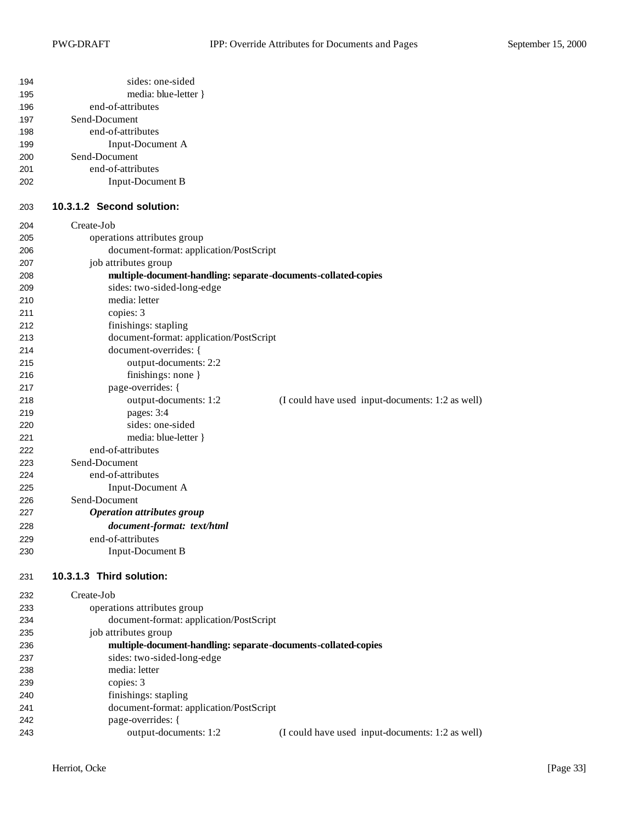| 194<br>195<br>196<br>197<br>198<br>199<br>200<br>201<br>202 | sides: one-sided<br>media: blue-letter }<br>end-of-attributes<br>Send-Document<br>end-of-attributes<br>Input-Document A<br>Send-Document<br>end-of-attributes<br><b>Input-Document B</b> |                                                  |
|-------------------------------------------------------------|------------------------------------------------------------------------------------------------------------------------------------------------------------------------------------------|--------------------------------------------------|
| 203                                                         | 10.3.1.2 Second solution:                                                                                                                                                                |                                                  |
| 204                                                         | Create-Job                                                                                                                                                                               |                                                  |
| 205                                                         | operations attributes group                                                                                                                                                              |                                                  |
| 206                                                         | document-format: application/PostScript                                                                                                                                                  |                                                  |
| 207                                                         | job attributes group                                                                                                                                                                     |                                                  |
| 208                                                         | multiple-document-handling: separate-documents-collated-copies                                                                                                                           |                                                  |
| 209                                                         | sides: two-sided-long-edge                                                                                                                                                               |                                                  |
| 210                                                         | media: letter                                                                                                                                                                            |                                                  |
| 211                                                         | copies: 3                                                                                                                                                                                |                                                  |
| 212                                                         | finishings: stapling                                                                                                                                                                     |                                                  |
| 213                                                         | document-format: application/PostScript                                                                                                                                                  |                                                  |
| 214                                                         | document-overrides: {                                                                                                                                                                    |                                                  |
| 215                                                         | output-documents: 2:2                                                                                                                                                                    |                                                  |
| 216                                                         | finishings: none }                                                                                                                                                                       |                                                  |
| 217                                                         | page-overrides: {                                                                                                                                                                        |                                                  |
| 218                                                         | output-documents: 1:2                                                                                                                                                                    | (I could have used input-documents: 1:2 as well) |
| 219                                                         | pages: 3:4                                                                                                                                                                               |                                                  |
| 220                                                         | sides: one-sided                                                                                                                                                                         |                                                  |
| 221                                                         | media: blue-letter }                                                                                                                                                                     |                                                  |
| 222                                                         | end-of-attributes                                                                                                                                                                        |                                                  |
| 223                                                         | Send-Document                                                                                                                                                                            |                                                  |
| 224                                                         | end-of-attributes                                                                                                                                                                        |                                                  |
| 225<br>226                                                  | Input-Document A<br>Send-Document                                                                                                                                                        |                                                  |
| 227                                                         | <b>Operation attributes group</b>                                                                                                                                                        |                                                  |
| 228                                                         | document-format: text/html                                                                                                                                                               |                                                  |
|                                                             | end-of-attributes                                                                                                                                                                        |                                                  |
| 229                                                         |                                                                                                                                                                                          |                                                  |
| 230                                                         | <b>Input-Document B</b>                                                                                                                                                                  |                                                  |
| 231                                                         | 10.3.1.3 Third solution:                                                                                                                                                                 |                                                  |
| 232                                                         | Create-Job                                                                                                                                                                               |                                                  |
| 233                                                         | operations attributes group                                                                                                                                                              |                                                  |
| 234                                                         | document-format: application/PostScript                                                                                                                                                  |                                                  |
| 235                                                         | job attributes group                                                                                                                                                                     |                                                  |
| 236                                                         | multiple-document-handling: separate-documents-collated-copies                                                                                                                           |                                                  |
| 237                                                         | sides: two-sided-long-edge                                                                                                                                                               |                                                  |
| 238                                                         | media: letter                                                                                                                                                                            |                                                  |
| 239                                                         | copies: 3                                                                                                                                                                                |                                                  |
| 240                                                         | finishings: stapling                                                                                                                                                                     |                                                  |
| 241                                                         | document-format: application/PostScript                                                                                                                                                  |                                                  |
| 242                                                         | page-overrides: {                                                                                                                                                                        |                                                  |
| 243                                                         | output-documents: 1:2                                                                                                                                                                    | (I could have used input-documents: 1:2 as well) |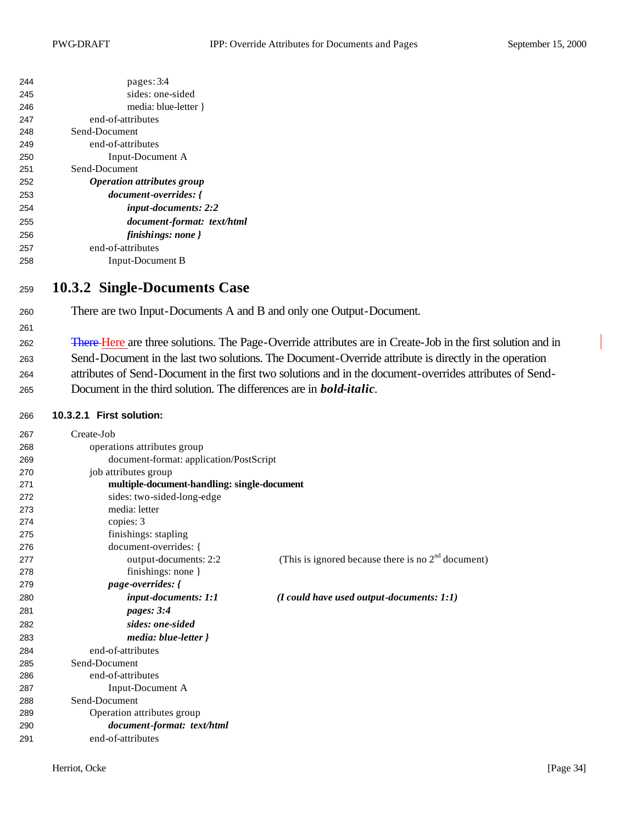| 244 | pages: 3:4                               |
|-----|------------------------------------------|
| 245 | sides: one-sided                         |
| 246 | media: blue-letter }                     |
| 247 | end-of-attributes                        |
| 248 | Send-Document                            |
| 249 | end-of-attributes                        |
| 250 | Input-Document A                         |
| 251 | Send-Document                            |
| 252 | <i><b>Operation attributes group</b></i> |
| 253 | <i>document-overrides: {</i>             |
| 254 | input-documents: 2:2                     |
| 255 | document-format: text/html               |
| 256 | finishings: none }                       |
| 257 | end-of-attributes                        |
| 258 | Input-Document B                         |

### **10.3.2 Single-Documents Case**

There are two Input-Documents A and B and only one Output-Document.

262 There Here are three solutions. The Page-Override attributes are in Create-Job in the first solution and in Send-Document in the last two solutions. The Document-Override attribute is directly in the operation attributes of Send-Document in the first two solutions and in the document-overrides attributes of Send-

Document in the third solution. The differences are in *bold-italic*.

#### **10.3.2.1 First solution:**

| 267 | Create-Job                                  |                                                      |
|-----|---------------------------------------------|------------------------------------------------------|
| 268 | operations attributes group                 |                                                      |
| 269 | document-format: application/PostScript     |                                                      |
| 270 | job attributes group                        |                                                      |
| 271 | multiple-document-handling: single-document |                                                      |
| 272 | sides: two-sided-long-edge                  |                                                      |
| 273 | media: letter                               |                                                      |
| 274 | copies: 3                                   |                                                      |
| 275 | finishings: stapling                        |                                                      |
| 276 | document-overrides: {                       |                                                      |
| 277 | output-documents: 2:2                       | (This is ignored because there is no $2nd$ document) |
| 278 | finishings: none }                          |                                                      |
| 279 | <i>page-overrides:</i> {                    |                                                      |
| 280 | input-documents: 1:1                        | $(I \text{ could have used output-documents: } 1:1)$ |
| 281 | pages: $3:4$                                |                                                      |
| 282 | sides: one-sided                            |                                                      |
| 283 | media: blue-letter }                        |                                                      |
| 284 | end-of-attributes                           |                                                      |
| 285 | Send-Document                               |                                                      |
| 286 | end-of-attributes                           |                                                      |
| 287 | Input-Document A                            |                                                      |
| 288 | Send-Document                               |                                                      |
| 289 | Operation attributes group                  |                                                      |
| 290 | document-format: text/html                  |                                                      |
| 291 | end-of-attributes                           |                                                      |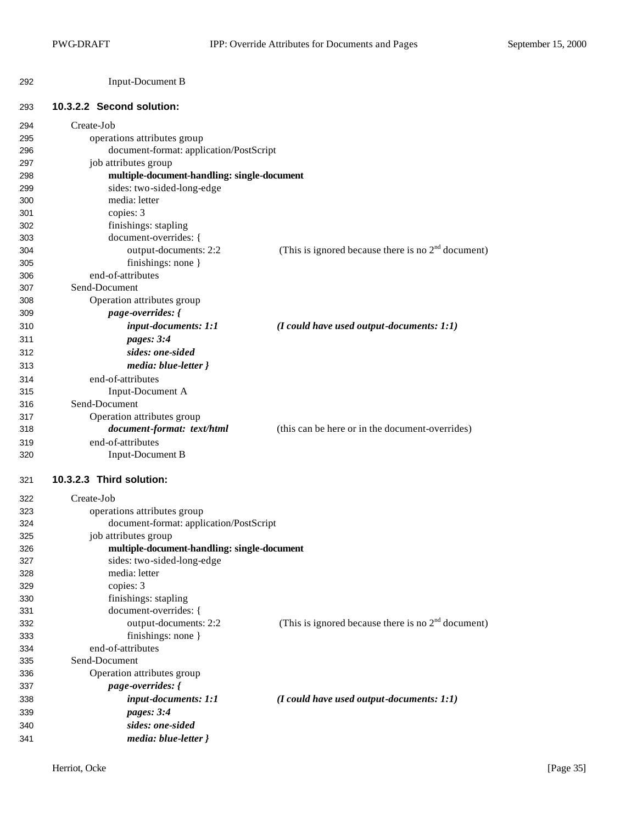| 292 | Input-Document B |
|-----|------------------|
|-----|------------------|

#### **10.3.2.2 Second solution:**

| 294 | Create-Job                                  |                                                      |
|-----|---------------------------------------------|------------------------------------------------------|
| 295 | operations attributes group                 |                                                      |
| 296 | document-format: application/PostScript     |                                                      |
| 297 | job attributes group                        |                                                      |
| 298 | multiple-document-handling: single-document |                                                      |
| 299 | sides: two-sided-long-edge                  |                                                      |
| 300 | media: letter                               |                                                      |
| 301 | copies: 3                                   |                                                      |
| 302 | finishings: stapling                        |                                                      |
| 303 | document-overrides: {                       |                                                      |
| 304 | output-documents: 2:2                       | (This is ignored because there is no $2nd$ document) |
| 305 | finishings: none }                          |                                                      |
| 306 | end-of-attributes                           |                                                      |
| 307 | Send-Document                               |                                                      |
| 308 | Operation attributes group                  |                                                      |
| 309 | page-overrides: {                           |                                                      |
| 310 | input-documents: 1:1                        | $(I$ could have used output-documents: $I:1)$        |
| 311 | pages: 3:4                                  |                                                      |
| 312 | sides: one-sided                            |                                                      |
| 313 | media: blue-letter }                        |                                                      |
| 314 | end-of-attributes                           |                                                      |
| 315 | Input-Document A                            |                                                      |
| 316 | Send-Document                               |                                                      |
| 317 | Operation attributes group                  |                                                      |
| 318 | document-format: text/html                  | (this can be here or in the document-overrides)      |
| 319 | end-of-attributes                           |                                                      |
| 320 | <b>Input-Document B</b>                     |                                                      |
| 321 | 10.3.2.3 Third solution:                    |                                                      |
| 322 | Create-Job                                  |                                                      |
| 323 | operations attributes group                 |                                                      |
| 324 | document-format: application/PostScript     |                                                      |
| 325 | job attributes group                        |                                                      |
| 326 | multiple-document-handling: single-document |                                                      |
| 327 | sides: two-sided-long-edge                  |                                                      |
| 328 | media: letter                               |                                                      |
| 329 | copies: 3                                   |                                                      |
| 330 | finishings: stapling                        |                                                      |
| 331 | document-overrides: {                       |                                                      |
| 332 | output-documents: 2:2                       | (This is ignored because there is no $2nd$ document) |
| 333 | finishings: none $\}$                       |                                                      |
| 334 | end-of-attributes                           |                                                      |
| 335 | Send-Document                               |                                                      |
| 336 | Operation attributes group                  |                                                      |
| 337 | page-overrides: {                           |                                                      |
| 338 | input-documents: 1:1                        | $(I$ could have used output-documents: $1:1)$        |
| 339 | pages: 3:4                                  |                                                      |
| 340 | sides: one-sided                            |                                                      |
| 341 | media: blue-letter }                        |                                                      |
|     |                                             |                                                      |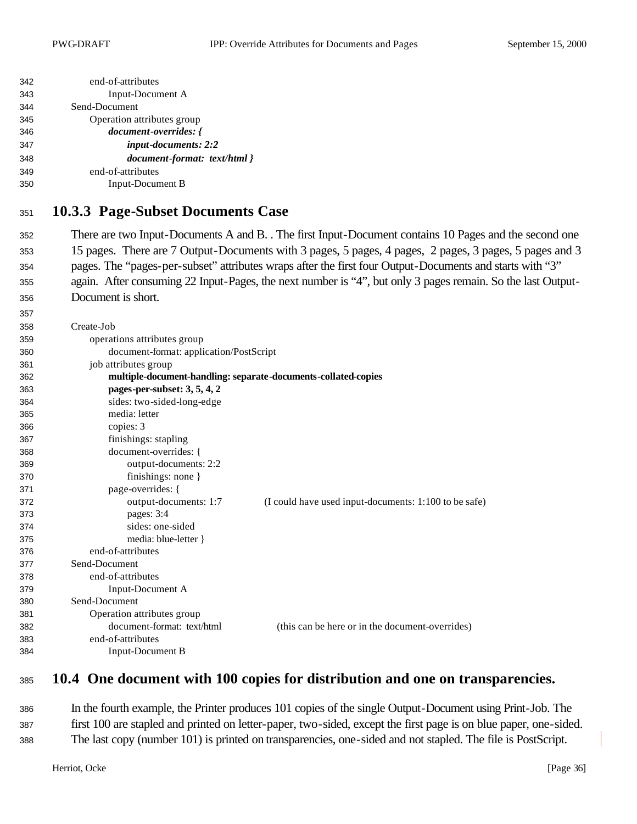| 342 | end-of-attributes                                              |                                                                                                             |
|-----|----------------------------------------------------------------|-------------------------------------------------------------------------------------------------------------|
| 343 | Input-Document A                                               |                                                                                                             |
| 344 | Send-Document                                                  |                                                                                                             |
| 345 | Operation attributes group                                     |                                                                                                             |
| 346 | document-overrides: {                                          |                                                                                                             |
| 347 | input-documents: 2:2                                           |                                                                                                             |
| 348 | document-format: text/html }                                   |                                                                                                             |
| 349 | end-of-attributes                                              |                                                                                                             |
| 350 | <b>Input-Document B</b>                                        |                                                                                                             |
| 351 | <b>10.3.3 Page-Subset Documents Case</b>                       |                                                                                                             |
| 352 |                                                                | There are two Input-Documents A and B. . The first Input-Document contains 10 Pages and the second one      |
| 353 |                                                                | 15 pages. There are 7 Output-Documents with 3 pages, 5 pages, 4 pages, 2 pages, 3 pages, 5 pages and 3      |
| 354 |                                                                | pages. The "pages-per-subset" attributes wraps after the first four Output-Documents and starts with "3"    |
| 355 |                                                                | again. After consuming 22 Input-Pages, the next number is "4", but only 3 pages remain. So the last Output- |
| 356 | Document is short.                                             |                                                                                                             |
| 357 |                                                                |                                                                                                             |
| 358 | Create-Job                                                     |                                                                                                             |
| 359 | operations attributes group                                    |                                                                                                             |
| 360 | document-format: application/PostScript                        |                                                                                                             |
| 361 | job attributes group                                           |                                                                                                             |
| 362 | multiple-document-handling: separate-documents-collated-copies |                                                                                                             |
| 363 | pages-per-subset: 3, 5, 4, 2                                   |                                                                                                             |
| 364 | sides: two-sided-long-edge                                     |                                                                                                             |
| 365 | media: letter                                                  |                                                                                                             |
| 366 | copies: 3                                                      |                                                                                                             |
| 367 | finishings: stapling                                           |                                                                                                             |
| 368 | document-overrides: {                                          |                                                                                                             |
| 369 | output-documents: 2:2                                          |                                                                                                             |
| 370 | finishings: none }                                             |                                                                                                             |
| 371 | page-overrides: {                                              |                                                                                                             |
| 372 | output-documents: 1:7                                          | (I could have used input-documents: 1:100 to be safe)                                                       |
| 373 | pages: 3:4                                                     |                                                                                                             |
| 374 | sides: one-sided                                               |                                                                                                             |
| 375 | media: blue-letter }                                           |                                                                                                             |
| 376 | end-of-attributes                                              |                                                                                                             |
| 377 | Send-Document                                                  |                                                                                                             |
| 378 | end-of-attributes                                              |                                                                                                             |
| 379 | Input-Document A                                               |                                                                                                             |
| 380 | Send-Document                                                  |                                                                                                             |
| 381 | Operation attributes group                                     |                                                                                                             |
| 382 | document-format: text/html                                     | (this can be here or in the document-overrides)                                                             |
| 383 | end-of-attributes                                              |                                                                                                             |
| 384 | <b>Input-Document B</b>                                        |                                                                                                             |

## **10.4 One document with 100 copies for distribution and one on transparencies.**

 In the fourth example, the Printer produces 101 copies of the single Output-Document using Print-Job. The first 100 are stapled and printed on letter-paper, two-sided, except the first page is on blue paper, one-sided. The last copy (number 101) is printed on transparencies, one-sided and not stapled. The file is PostScript.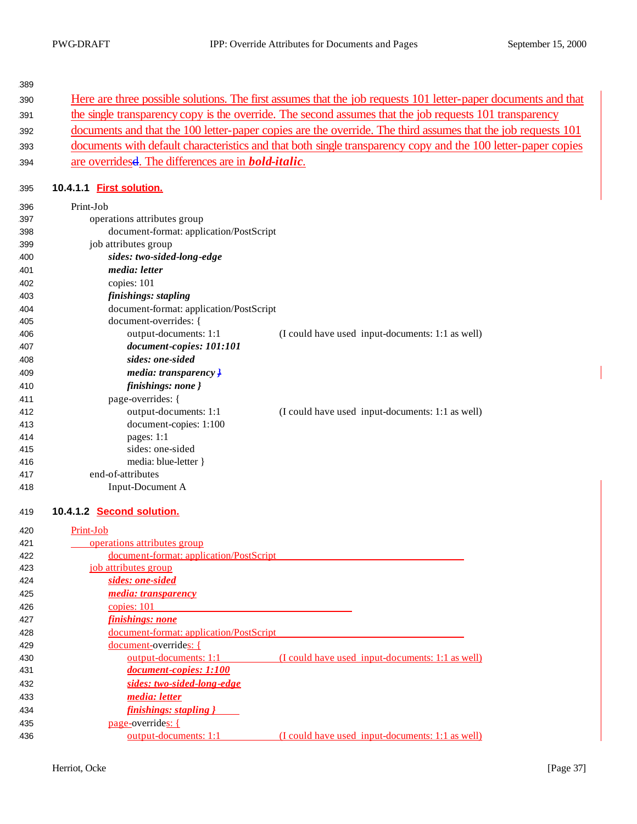| 390 | Here are three possible solutions. The first assumes that the job requests 101 letter-paper documents and that |
|-----|----------------------------------------------------------------------------------------------------------------|
| 391 | the single transparency copy is the override. The second assumes that the job requests 101 transparency        |
| 392 | documents and that the 100 letter-paper copies are the override. The third assumes that the job requests 101   |
| 393 | documents with default characteristics and that both single transparency copy and the 100 letter-paper copies  |
| 394 | are overridesed. The differences are in <b>bold-italic</b> .                                                   |
| 395 | 10.4.1.1 First solution.                                                                                       |
| 396 | Print-Job                                                                                                      |
| 397 | operations attributes group                                                                                    |
| 398 | document-format: application/PostScript                                                                        |
| 399 | job attributes group                                                                                           |
| 400 | sides: two-sided-long-edge                                                                                     |
| 401 | media: letter                                                                                                  |
| 402 | copies: 101                                                                                                    |
| 403 | finishings: stapling                                                                                           |
| 404 | document-format: application/PostScript                                                                        |
| 405 | document-overrides: {                                                                                          |
| 406 | output-documents: 1:1<br>(I could have used input-documents: 1:1 as well)                                      |
| 407 | document-copies: 101:101                                                                                       |
| 408 | sides: one-sided                                                                                               |
| 409 | media: transparency $\frac{1}{2}$                                                                              |
| 410 | finishings: none }                                                                                             |
| 411 | page-overrides: {                                                                                              |
| 412 | output-documents: 1:1<br>(I could have used input-documents: 1:1 as well)                                      |
| 413 | document-copies: 1:100                                                                                         |
| 414 | pages: $1:1$                                                                                                   |
| 415 | sides: one-sided                                                                                               |
| 416 | media: blue-letter }                                                                                           |
| 417 | end-of-attributes                                                                                              |
| 418 | Input-Document A                                                                                               |

#### **10.4.1.2 Second solution.**

| 420 | Print-Job                                                                 |
|-----|---------------------------------------------------------------------------|
| 421 | operations attributes group                                               |
| 422 | document-format: application/PostScript                                   |
| 423 | job attributes group                                                      |
| 424 | sides: one-sided                                                          |
| 425 | <i>media: transparency</i>                                                |
| 426 | copies: 101                                                               |
| 427 | finishings: none                                                          |
| 428 | document-format: application/PostScript                                   |
| 429 | <u>document-overrides: {</u>                                              |
| 430 | output-documents: 1:1<br>(I could have used input-documents: 1:1 as well) |
| 431 | document-copies: 1:100                                                    |
| 432 | sides: two-sided-long-edge                                                |
| 433 | <i>media: letter</i>                                                      |
| 434 | finishings: stapling }                                                    |
| 435 | page-overrides: {                                                         |
| 436 | output-documents: 1:1<br>(I could have used input-documents: 1:1 as well) |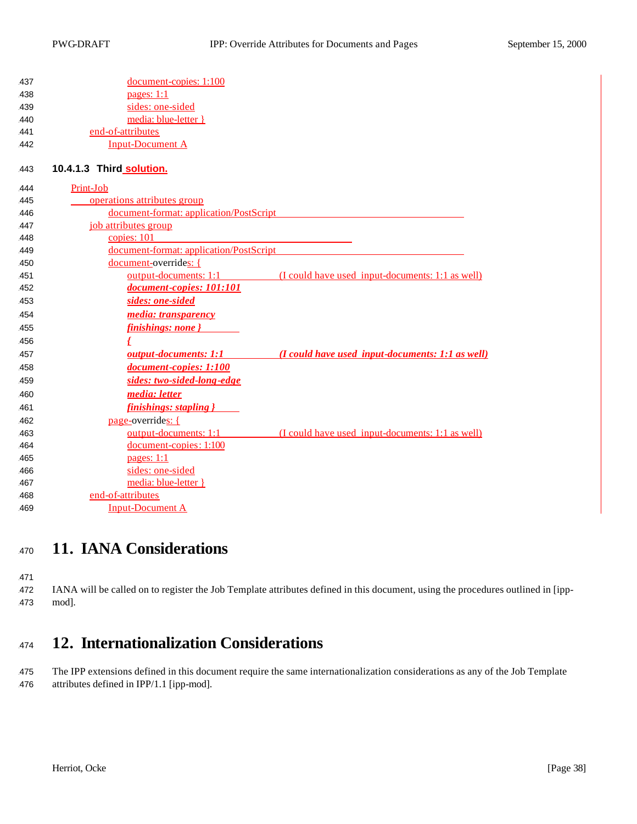| 437 | document-copies: 1:100                                                                         |
|-----|------------------------------------------------------------------------------------------------|
| 438 | pages: $1:1$                                                                                   |
| 439 | sides: one-sided                                                                               |
| 440 | media: blue-letter }                                                                           |
| 441 | end-of-attributes                                                                              |
| 442 | <b>Input-Document A</b>                                                                        |
| 443 | 10.4.1.3 Third solution.                                                                       |
| 444 | Print-Job                                                                                      |
| 445 | operations attributes group                                                                    |
| 446 | document-format: application/PostScript                                                        |
| 447 | job attributes group                                                                           |
| 448 | copies: 101                                                                                    |
| 449 | document-format: application/PostScript                                                        |
| 450 | document-overrides: {                                                                          |
| 451 | output-documents: 1:1<br>(I could have used input-documents: 1:1 as well)                      |
| 452 | document-copies: 101:101                                                                       |
| 453 | sides: one-sided                                                                               |
| 454 | media: transparency                                                                            |
| 455 | finishings: none }                                                                             |
| 456 | £                                                                                              |
| 457 | (I could have used input-documents: 1:1 as well)<br><b><i><u>output-documents: 1:1</u></i></b> |
| 458 | document-copies: 1:100                                                                         |
| 459 | sides: two-sided-long-edge                                                                     |
| 460 | media: letter                                                                                  |
| 461 | finishings: stapling }                                                                         |
| 462 | page-overrides: {                                                                              |
| 463 | output-documents: 1:1<br>(I could have used input-documents: 1:1 as well)                      |
| 464 | $document-copies: 1:100$                                                                       |
| 465 | pages: $1:1$                                                                                   |
| 466 | sides: one-sided                                                                               |
| 467 | media: blue-letter }                                                                           |
| 468 | end-of-attributes                                                                              |
| 469 | <b>Input-Document A</b>                                                                        |

# **11. IANA Considerations**

 IANA will be called on to register the Job Template attributes defined in this document, using the procedures outlined in [ipp-mod].

# **12. Internationalization Considerations**

 The IPP extensions defined in this document require the same internationalization considerations as any of the Job Template attributes defined in IPP/1.1 [ipp-mod].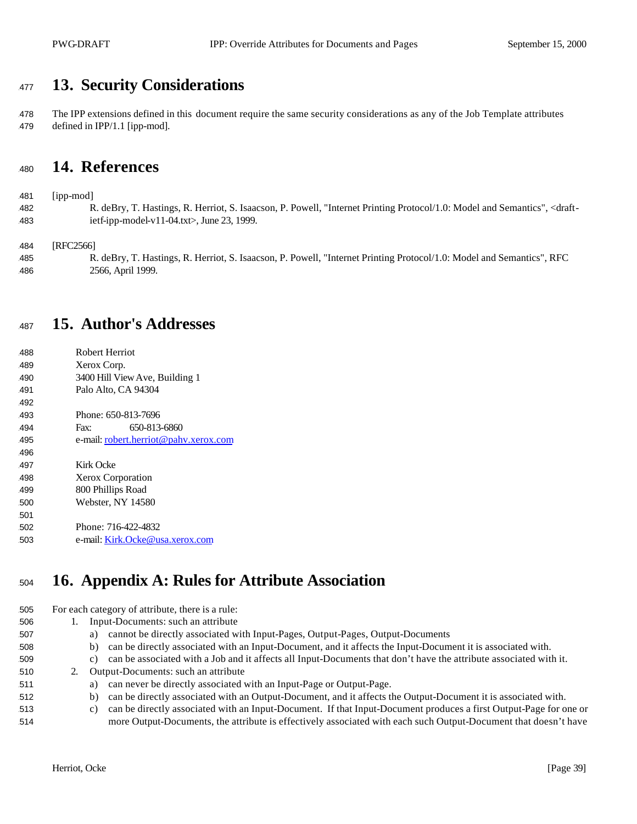# **13. Security Considerations**

 The IPP extensions defined in this document require the same security considerations as any of the Job Template attributes defined in IPP/1.1 [ipp-mod].

## **14. References**

[ipp-mod]

 R. deBry, T. Hastings, R. Herriot, S. Isaacson, P. Powell, "Internet Printing Protocol/1.0: Model and Semantics", <draft-ietf-ipp-model-v11-04.txt>, June 23, 1999.

[RFC2566]

 R. deBry, T. Hastings, R. Herriot, S. Isaacson, P. Powell, "Internet Printing Protocol/1.0: Model and Semantics", RFC 2566, April 1999.

## **15. Author's Addresses**

 Robert Herriot Xerox Corp. 3400 Hill View Ave, Building 1 Palo Alto, CA 94304 Phone: 650-813-7696 Fax: 650-813-6860 e-mail: robert.herriot@pahv.xerox.com Kirk Ocke Xerox Corporation 800 Phillips Road Webster, NY 14580 Phone: 716-422-4832 e-mail: Kirk.Ocke@usa.xerox.com

# **16. Appendix A: Rules for Attribute Association**

For each category of attribute, there is a rule:

- 1. Input-Documents: such an attribute
- a) cannot be directly associated with Input-Pages, Output-Pages, Output-Documents
- b) can be directly associated with an Input-Document, and it affects the Input-Document it is associated with.
- c) can be associated with a Job and it affects all Input-Documents that don't have the attribute associated with it.
- 2. Output-Documents: such an attribute
- a) can never be directly associated with an Input-Page or Output-Page.
- b) can be directly associated with an Output-Document, and it affects the Output-Document it is associated with.
- c) can be directly associated with an Input-Document. If that Input-Document produces a first Output-Page for one or more Output-Documents, the attribute is effectively associated with each such Output-Document that doesn't have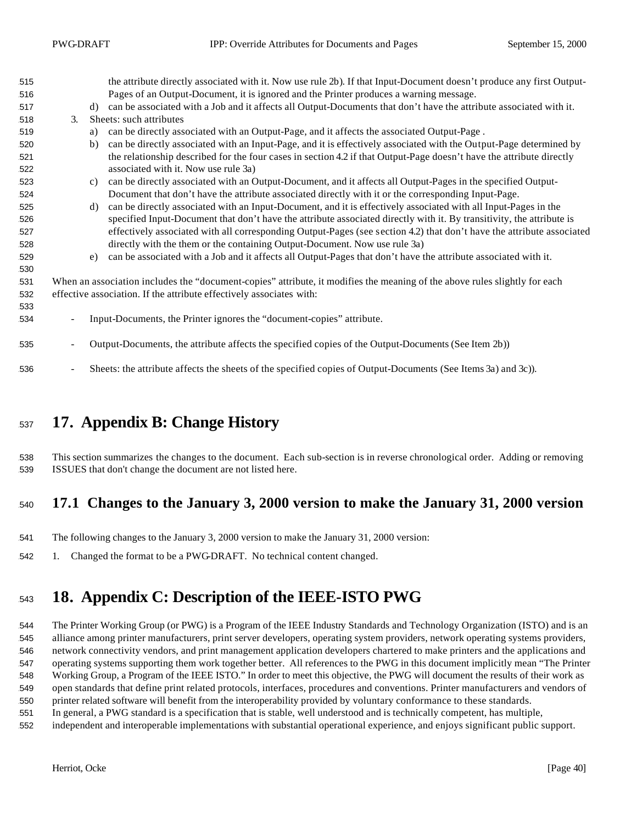| 515 |                                                                                                                            | the attribute directly associated with it. Now use rule 2b). If that Input-Document doesn't produce any first Output- |  |
|-----|----------------------------------------------------------------------------------------------------------------------------|-----------------------------------------------------------------------------------------------------------------------|--|
| 516 |                                                                                                                            | Pages of an Output-Document, it is ignored and the Printer produces a warning message.                                |  |
| 517 | d)                                                                                                                         | can be associated with a Job and it affects all Output-Documents that don't have the attribute associated with it.    |  |
| 518 | $\mathfrak{Z}$ .                                                                                                           | Sheets: such attributes                                                                                               |  |
| 519 | a)                                                                                                                         | can be directly associated with an Output-Page, and it affects the associated Output-Page.                            |  |
| 520 | b)                                                                                                                         | can be directly associated with an Input-Page, and it is effectively associated with the Output-Page determined by    |  |
| 521 |                                                                                                                            | the relationship described for the four cases in section 4.2 if that Output-Page doesn't have the attribute directly  |  |
| 522 |                                                                                                                            | associated with it. Now use rule 3a)                                                                                  |  |
| 523 | c)                                                                                                                         | can be directly associated with an Output-Document, and it affects all Output-Pages in the specified Output-          |  |
| 524 |                                                                                                                            | Document that don't have the attribute associated directly with it or the corresponding Input-Page.                   |  |
| 525 | d)                                                                                                                         | can be directly associated with an Input-Document, and it is effectively associated with all Input-Pages in the       |  |
| 526 |                                                                                                                            | specified Input-Document that don't have the attribute associated directly with it. By transitivity, the attribute is |  |
| 527 |                                                                                                                            | effectively associated with all corresponding Output-Pages (see section 4.2) that don't have the attribute associated |  |
| 528 |                                                                                                                            | directly with the them or the containing Output-Document. Now use rule 3a)                                            |  |
| 529 | e)                                                                                                                         | can be associated with a Job and it affects all Output-Pages that don't have the attribute associated with it.        |  |
| 530 |                                                                                                                            |                                                                                                                       |  |
| 531 | When an association includes the "document-copies" attribute, it modifies the meaning of the above rules slightly for each |                                                                                                                       |  |
| 532 | effective association. If the attribute effectively associates with:                                                       |                                                                                                                       |  |
| 533 |                                                                                                                            |                                                                                                                       |  |
| 534 |                                                                                                                            | Input-Documents, the Printer ignores the "document-copies" attribute.                                                 |  |
| 535 | $\overline{\phantom{a}}$                                                                                                   | Output-Documents, the attribute affects the specified copies of the Output-Documents (See Item 2b))                   |  |
|     |                                                                                                                            |                                                                                                                       |  |
| 536 | $\overline{\phantom{a}}$                                                                                                   | Sheets: the attribute affects the sheets of the specified copies of Output-Documents (See Items 3a) and 3c)).         |  |

# **17. Appendix B: Change History**

 This section summarizes the changes to the document. Each sub-section is in reverse chronological order. Adding or removing ISSUES that don't change the document are not listed here.

### **17.1 Changes to the January 3, 2000 version to make the January 31, 2000 version**

- The following changes to the January 3, 2000 version to make the January 31, 2000 version:
- 1. Changed the format to be a PWG-DRAFT. No technical content changed.

# **18. Appendix C: Description of the IEEE-ISTO PWG**

 The Printer Working Group (or PWG) is a Program of the IEEE Industry Standards and Technology Organization (ISTO) and is an alliance among printer manufacturers, print server developers, operating system providers, network operating systems providers, network connectivity vendors, and print management application developers chartered to make printers and the applications and operating systems supporting them work together better. All references to the PWG in this document implicitly mean "The Printer Working Group, a Program of the IEEE ISTO." In order to meet this objective, the PWG will document the results of their work as open standards that define print related protocols, interfaces, procedures and conventions. Printer manufacturers and vendors of printer related software will benefit from the interoperability provided by voluntary conformance to these standards.

- In general, a PWG standard is a specification that is stable, well understood and is technically competent, has multiple,
- independent and interoperable implementations with substantial operational experience, and enjoys significant public support.